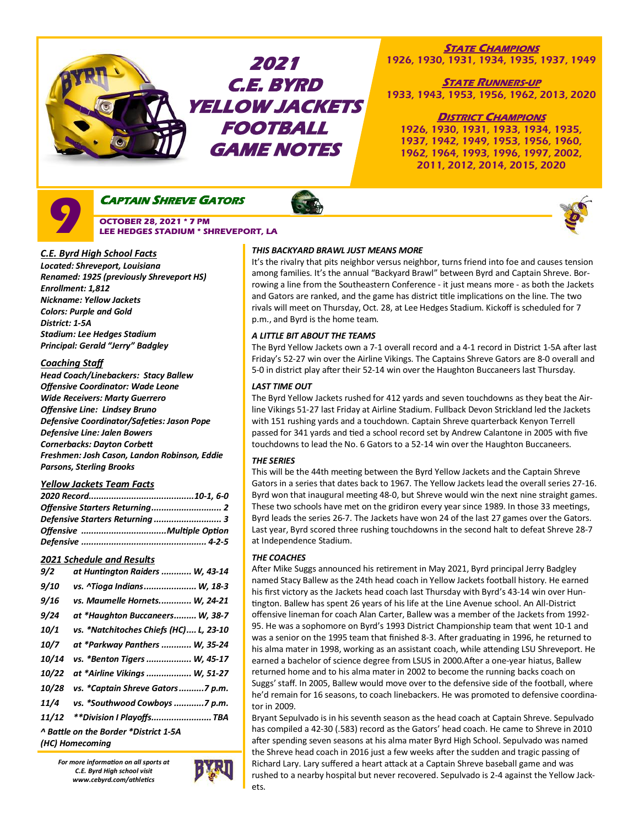

# **STATE CHAMPIONS**

1926, 1930, 1931, 1934, 1935, 1937, 1949

**STATE RUNNERS-UP** 1933, 1943, 1953, 1956, 1962, 2013, 2020

## **DISTRICT CHAMPIONS**

1926, 1930, 1931, 1933, 1934, 1935, 1937, 1942, 1949, 1953, 1956, 1960, 1962, 1964, 1993, 1996, 1997, 2002, 2011, 2012, 2014, 2015, 2020



**CAPTAIN SHREVE GATORS** 

 **OCTOBER 28, 2021 \* 7 PM LEE HEDGES STADIUM \* SHREVEPORT, LA** 



*Located: Shreveport, Louisiana Renamed: 1925 (previously Shreveport HS) Enrollment: 1,812 Nickname: Yellow Jackets Colors: Purple and Gold District: 1-5A Stadium: Lee Hedges Stadium Principal: Gerald "Jerry" Badgley*

## *Coaching Staff*

*Head Coach/Linebackers: Stacy Ballew Offensive Coordinator: Wade Leone Wide Receivers: Marty Guerrero Offensive Line: Lindsey Bruno Defensive Coordinator/Safeties: Jason Pope Defensive Line: Jalen Bowers Cornerbacks: Dayton Corbett Freshmen: Josh Cason, Landon Robinson, Eddie Parsons, Sterling Brooks*

## *Yellow Jackets Team Facts*

| Defensive Starters Returning  3 |  |
|---------------------------------|--|
|                                 |  |
|                                 |  |

## *2021 Schedule and Results*

| 9/2                | at Huntington Raiders  W, 43-14        |
|--------------------|----------------------------------------|
| <i>9/10</i>        | vs. ^Tioga Indians W, 18-3             |
| 9/16               | vs. Maumelle Hornets W, 24-21          |
| 9/24               | at *Haughton Buccaneers W, 38-7        |
| 10/1               | vs. *Natchitoches Chiefs (HC) L, 23-10 |
| <i><b>10/7</b></i> | at *Parkway Panthers  W, 35-24         |
| 10/14              | vs. *Benton Tigers  W, 45-17           |
| 10/22              | at *Airline Vikings  W, 51-27          |
| 10/28              | vs. *Captain Shreve Gators7 p.m.       |
| 11/4               | vs. *Southwood Cowboys 7 p.m.          |
| 11/12              | **Division I Playoffs TBA              |
|                    | ^ Battle on the Border *District 1-5A  |
|                    | (HC) Homecoming                        |

*For more information on all sports at C.E. Byrd High school visit www.cebyrd.com/athletics*



## *THIS BACKYARD BRAWL JUST MEANS MORE*

It's the rivalry that pits neighbor versus neighbor, turns friend into foe and causes tension among families. It's the annual "Backyard Brawl" between Byrd and Captain Shreve. Borrowing a line from the Southeastern Conference - it just means more - as both the Jackets and Gators are ranked, and the game has district title implications on the line. The two rivals will meet on Thursday, Oct. 28, at Lee Hedges Stadium. Kickoff is scheduled for 7 p.m., and Byrd is the home team.

## *A LITTLE BIT ABOUT THE TEAMS*

The Byrd Yellow Jackets own a 7-1 overall record and a 4-1 record in District 1-5A after last Friday's 52-27 win over the Airline Vikings. The Captains Shreve Gators are 8-0 overall and 5-0 in district play after their 52-14 win over the Haughton Buccaneers last Thursday.

## *LAST TIME OUT*

The Byrd Yellow Jackets rushed for 412 yards and seven touchdowns as they beat the Airline Vikings 51-27 last Friday at Airline Stadium. Fullback Devon Strickland led the Jackets with 151 rushing yards and a touchdown. Captain Shreve quarterback Kenyon Terrell passed for 341 yards and tied a school record set by Andrew Calantone in 2005 with five touchdowns to lead the No. 6 Gators to a 52-14 win over the Haughton Buccaneers.

## *THE SERIES*

This will be the 44th meeting between the Byrd Yellow Jackets and the Captain Shreve Gators in a series that dates back to 1967. The Yellow Jackets lead the overall series 27-16. Byrd won that inaugural meeting 48-0, but Shreve would win the next nine straight games. These two schools have met on the gridiron every year since 1989. In those 33 meetings, Byrd leads the series 26-7. The Jackets have won 24 of the last 27 games over the Gators. Last year, Byrd scored three rushing touchdowns in the second halt to defeat Shreve 28-7 at Independence Stadium.

## *THE COACHES*

After Mike Suggs announced his retirement in May 2021, Byrd principal Jerry Badgley named Stacy Ballew as the 24th head coach in Yellow Jackets football history. He earned his first victory as the Jackets head coach last Thursday with Byrd's 43-14 win over Huntington. Ballew has spent 26 years of his life at the Line Avenue school. An All-District offensive lineman for coach Alan Carter, Ballew was a member of the Jackets from 1992- 95. He was a sophomore on Byrd's 1993 District Championship team that went 10-1 and was a senior on the 1995 team that finished 8-3. After graduating in 1996, he returned to his alma mater in 1998, working as an assistant coach, while attending LSU Shreveport. He earned a bachelor of science degree from LSUS in 2000.After a one-year hiatus, Ballew returned home and to his alma mater in 2002 to become the running backs coach on Suggs' staff. In 2005, Ballew would move over to the defensive side of the football, where he'd remain for 16 seasons, to coach linebackers. He was promoted to defensive coordinator in 2009.

Bryant Sepulvado is in his seventh season as the head coach at Captain Shreve. Sepulvado has compiled a 42-30 (.583) record as the Gators' head coach. He came to Shreve in 2010 after spending seven seasons at his alma mater Byrd High School. Sepulvado was named the Shreve head coach in 2016 just a few weeks after the sudden and tragic passing of Richard Lary. Lary suffered a heart attack at a Captain Shreve baseball game and was rushed to a nearby hospital but never recovered. Sepulvado is 2-4 against the Yellow Jackets.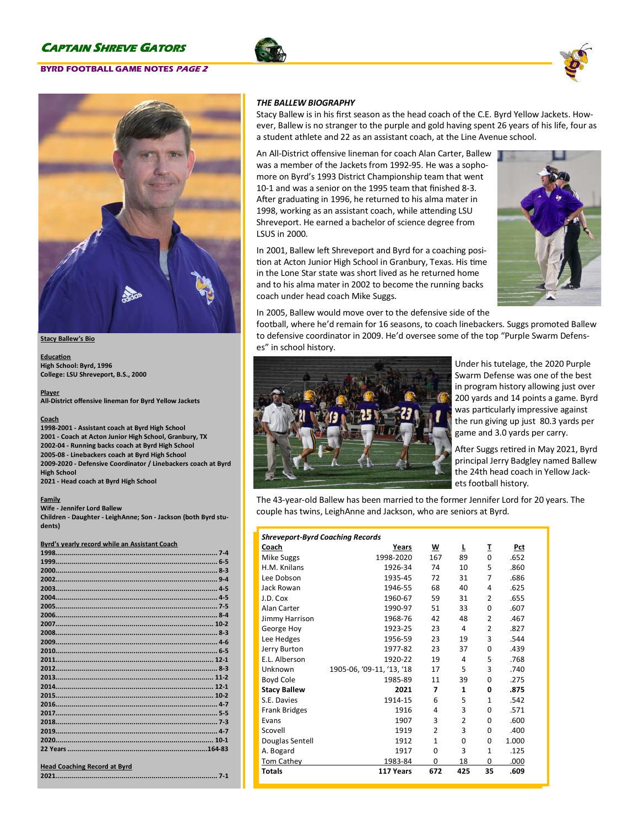### **BYRD FOOTBALL GAME NOTES PAGE 2**







#### **Stacy Ballew's Bio**

**Education High School: Byrd, 1996 College: LSU Shreveport, B.S., 2000**

**Player All-District offensive lineman for Byrd Yellow Jackets**

#### **Coach**

**-2001 - Assistant coach at Byrd High School - Coach at Acton Junior High School, Granbury, TX -04 - Running backs coach at Byrd High School -08 - Linebackers coach at Byrd High School -2020 - Defensive Coordinator / Linebackers coach at Byrd High School**

**2021 - Head coach at Byrd High School**

#### **Family**

**Wife - Jennifer Lord Ballew Children - Daughter - LeighAnne; Son - Jackson (both Byrd students)**

#### **Byrd's yearly record while an Assistant Coach**

| <b>Head Coaching Record at Byrd</b> |  |
|-------------------------------------|--|
|                                     |  |

### *THE BALLEW BIOGRAPHY*

Stacy Ballew is in his first season as the head coach of the C.E. Byrd Yellow Jackets. However, Ballew is no stranger to the purple and gold having spent 26 years of his life, four as a student athlete and 22 as an assistant coach, at the Line Avenue school.

An All-District offensive lineman for coach Alan Carter, Ballew was a member of the Jackets from 1992-95. He was a sophomore on Byrd's 1993 District Championship team that went 10-1 and was a senior on the 1995 team that finished 8-3. After graduating in 1996, he returned to his alma mater in 1998, working as an assistant coach, while attending LSU Shreveport. He earned a bachelor of science degree from LSUS in 2000.

In 2001, Ballew left Shreveport and Byrd for a coaching position at Acton Junior High School in Granbury, Texas. His time in the Lone Star state was short lived as he returned home and to his alma mater in 2002 to become the running backs coach under head coach Mike Suggs.



In 2005, Ballew would move over to the defensive side of the

football, where he'd remain for 16 seasons, to coach linebackers. Suggs promoted Ballew to defensive coordinator in 2009. He'd oversee some of the top "Purple Swarm Defenses" in school history.



Under his tutelage, the 2020 Purple Swarm Defense was one of the best in program history allowing just over 200 yards and 14 points a game. Byrd was particularly impressive against the run giving up just 80.3 yards per game and 3.0 yards per carry.

After Suggs retired in May 2021, Byrd principal Jerry Badgley named Ballew the 24th head coach in Yellow Jackets football history.

The 43-year-old Ballew has been married to the former Jennifer Lord for 20 years. The couple has twins, LeighAnne and Jackson, who are seniors at Byrd.

| <b>Shreveport-Byrd Coaching Records</b> |                           |                |                |                |       |  |
|-----------------------------------------|---------------------------|----------------|----------------|----------------|-------|--|
| Coach                                   | Years                     | w              | L              | I              | Pct   |  |
| Mike Suggs                              | 1998-2020                 | 167            | 89             | 0              | .652  |  |
| H.M. Knilans                            | 1926-34                   | 74             | 10             | 5              | .860  |  |
| Lee Dobson                              | 1935-45                   | 72             | 31             | $\overline{7}$ | .686  |  |
| Jack Rowan                              | 1946-55                   | 68             | 40             | 4              | .625  |  |
| J.D. Cox                                | 1960-67                   | 59             | 31             | $\overline{2}$ | .655  |  |
| Alan Carter                             | 1990-97                   | 51             | 33             | 0              | .607  |  |
| Jimmy Harrison                          | 1968-76                   | 42             | 48             | $\overline{2}$ | .467  |  |
| George Hoy                              | 1923-25                   | 23             | 4              | $\overline{2}$ | .827  |  |
| Lee Hedges                              | 1956-59                   | 23             | 19             | 3              | .544  |  |
| Jerry Burton                            | 1977-82                   | 23             | 37             | 0              | .439  |  |
| E.L. Alberson                           | 1920-22                   | 19             | 4              | 5              | .768  |  |
| Unknown                                 | 1905-06, '09-11, '13, '18 | 17             | 5              | 3              | .740  |  |
| Boyd Cole                               | 1985-89                   | 11             | 39             | 0              | .275  |  |
| <b>Stacy Ballew</b>                     | 2021                      | 7              | 1              | 0              | .875  |  |
| S.E. Davies                             | 1914-15                   | 6              | 5              | $\mathbf{1}$   | .542  |  |
| <b>Frank Bridges</b>                    | 1916                      | 4              | 3              | 0              | .571  |  |
| Evans                                   | 1907                      | 3              | $\mathfrak{p}$ | 0              | .600  |  |
| Scovell                                 | 1919                      | $\overline{2}$ | 3              | 0              | .400  |  |
| Douglas Sentell                         | 1912                      | 1              | 0              | 0              | 1.000 |  |
| A. Bogard                               | 1917                      | 0              | 3              | $\mathbf{1}$   | .125  |  |
| Tom Cathey                              | 1983-84                   | $\Omega$       | 18             | 0              | .000  |  |
| <b>Totals</b>                           | 117 Years                 | 672            | 425            | 35             | .609  |  |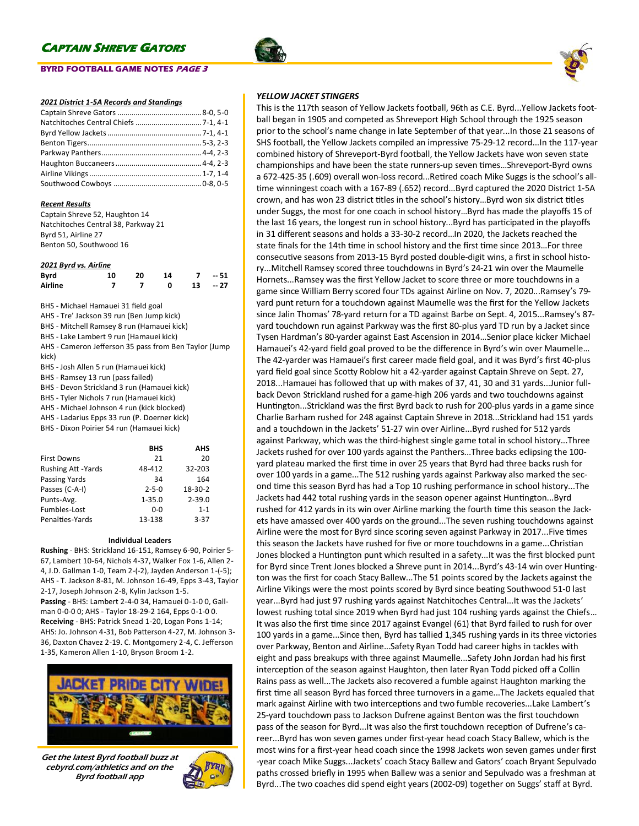## **BYRD FOOTBALL GAME NOTES PAGE 3**



#### *2021 District 1-5A Records and Standings*

#### *Recent Results*

| Captain Shreve 52, Haughton 14      |
|-------------------------------------|
| Natchitoches Central 38, Parkway 21 |
| Byrd 51, Airline 27                 |
| Benton 50, Southwood 16             |

#### *2021 Byrd vs. Airline*

| <b>Byrd</b> | 10 | 20 | 14 | $7 - 51$  |
|-------------|----|----|----|-----------|
| Airline     |    |    |    | $13 - 27$ |

BHS - Michael Hamauei 31 field goal

AHS - Tre' Jackson 39 run (Ben Jump kick)

BHS - Mitchell Ramsey 8 run (Hamauei kick) BHS - Lake Lambert 9 run (Hamauei kick)

AHS - Cameron Jefferson 35 pass from Ben Taylor (Jump

kick)

BHS - Josh Allen 5 run (Hamauei kick)

BHS - Ramsey 13 run (pass failed)

BHS - Devon Strickland 3 run (Hamauei kick)

BHS - Tyler Nichols 7 run (Hamauei kick)

AHS - Michael Johnson 4 run (kick blocked)

AHS - Ladarius Epps 33 run (P. Doerner kick)

BHS - Dixon Poirier 54 run (Hamauei kick)

|                            | <b>BHS</b>  | <b>AHS</b> |
|----------------------------|-------------|------------|
| <b>First Downs</b>         | 21          | 20         |
| <b>Rushing Att - Yards</b> | 48-412      | 32-203     |
| Passing Yards              | 34          | 164        |
| Passes (C-A-I)             | $2 - 5 - 0$ | $18-30-2$  |
| Punts-Avg.                 | $1 - 35.0$  | $2 - 39.0$ |
| Fumbles-Lost               | ი-ი         | $1 - 1$    |
| Penalties-Yards            | 13-138      | $3 - 37$   |

#### **Individual Leaders**

**Rushing** - BHS: Strickland 16-151, Ramsey 6-90, Poirier 5- 67, Lambert 10-64, Nichols 4-37, Walker Fox 1-6, Allen 2- 4, J.D. Gallman 1-0, Team 2-(-2), Jayden Anderson 1-(-5); AHS - T. Jackson 8-81, M. Johnson 16-49, Epps 3-43, Taylor 2-17, Joseph Johnson 2-8, Kylin Jackson 1-5. **Passing** - BHS: Lambert 2-4-0 34, Hamauei 0-1-0 0, Gallman 0-0-0 0; AHS - Taylor 18-29-2 164, Epps 0-1-0 0. **Receiving** - BHS: Patrick Snead 1-20, Logan Pons 1-14; AHS: Jo. Johnson 4-31, Bob Patterson 4-27, M. Johnson 3- 36, Daxton Chavez 2-19. C. Montgomery 2-4, C. Jefferson 1-35, Kameron Allen 1-10, Bryson Broom 1-2.



Get the latest Byrd football buzz at cebyrd.com/athletics and on the Byrd football app



## *YELLOW JACKET STINGERS*

This is the 117th season of Yellow Jackets football, 96th as C.E. Byrd...Yellow Jackets football began in 1905 and competed as Shreveport High School through the 1925 season prior to the school's name change in late September of that year...In those 21 seasons of SHS football, the Yellow Jackets compiled an impressive 75-29-12 record...In the 117-year combined history of Shreveport-Byrd football, the Yellow Jackets have won seven state championships and have been the state runners-up seven times…Shreveport-Byrd owns a 672-425-35 (.609) overall won-loss record...Retired coach Mike Suggs is the school's alltime winningest coach with a 167-89 (.652) record...Byrd captured the 2020 District 1-5A crown, and has won 23 district titles in the school's history…Byrd won six district titles under Suggs, the most for one coach in school history…Byrd has made the playoffs 15 of the last 16 years, the longest run in school history...Byrd has participated in the playoffs in 31 different seasons and holds a 33-30-2 record…In 2020, the Jackets reached the state finals for the 14th time in school history and the first time since 2013…For three consecutive seasons from 2013-15 Byrd posted double-digit wins, a first in school history...Mitchell Ramsey scored three touchdowns in Byrd's 24-21 win over the Maumelle Hornets...Ramsey was the first Yellow Jacket to score three or more touchdowns in a game since William Berry scored four TDs against Airline on Nov. 7, 2020...Ramsey's 79 yard punt return for a touchdown against Maumelle was the first for the Yellow Jackets since Jalin Thomas' 78-yard return for a TD against Barbe on Sept. 4, 2015...Ramsey's 87 yard touchdown run against Parkway was the first 80-plus yard TD run by a Jacket since Tysen Hardman's 80-yarder against East Ascension in 2014…Senior place kicker Michael Hamauei's 42-yard field goal proved to be the difference in Byrd's win over Maumelle… The 42-yarder was Hamauei's first career made field goal, and it was Byrd's first 40-plus yard field goal since Scotty Roblow hit a 42-yarder against Captain Shreve on Sept. 27, 2018...Hamauei has followed that up with makes of 37, 41, 30 and 31 yards...Junior fullback Devon Strickland rushed for a game-high 206 yards and two touchdowns against Huntington...Strickland was the first Byrd back to rush for 200-plus yards in a game since Charlie Barham rushed for 248 against Captain Shreve in 2018...Strickland had 151 yards and a touchdown in the Jackets' 51-27 win over Airline...Byrd rushed for 512 yards against Parkway, which was the third-highest single game total in school history...Three Jackets rushed for over 100 yards against the Panthers...Three backs eclipsing the 100 yard plateau marked the first time in over 25 years that Byrd had three backs rush for over 100 yards in a game...The 512 rushing yards against Parkway also marked the second time this season Byrd has had a Top 10 rushing performance in school history...The Jackets had 442 total rushing yards in the season opener against Huntington...Byrd rushed for 412 yards in its win over Airline marking the fourth time this season the Jackets have amassed over 400 yards on the ground...The seven rushing touchdowns against Airline were the most for Byrd since scoring seven against Parkway in 2017...Five times this season the Jackets have rushed for five or more touchdowns in a game...Christian Jones blocked a Huntington punt which resulted in a safety...It was the first blocked punt for Byrd since Trent Jones blocked a Shreve punt in 2014...Byrd's 43-14 win over Huntington was the first for coach Stacy Ballew...The 51 points scored by the Jackets against the Airline Vikings were the most points scored by Byrd since beating Southwood 51-0 last year...Byrd had just 97 rushing yards against Natchitoches Central...It was the Jackets' lowest rushing total since 2019 when Byrd had just 104 rushing yards against the Chiefs… It was also the first time since 2017 against Evangel (61) that Byrd failed to rush for over 100 yards in a game...Since then, Byrd has tallied 1,345 rushing yards in its three victories over Parkway, Benton and Airline…Safety Ryan Todd had career highs in tackles with eight and pass breakups with three against Maumelle...Safety John Jordan had his first interception of the season against Haughton, then later Ryan Todd picked off a Collin Rains pass as well...The Jackets also recovered a fumble against Haughton marking the first time all season Byrd has forced three turnovers in a game...The Jackets equaled that mark against Airline with two interceptions and two fumble recoveries...Lake Lambert's 25-yard touchdown pass to Jackson Dufrene against Benton was the first touchdown pass of the season for Byrd...It was also the first touchdown reception of Dufrene's career...Byrd has won seven games under first-year head coach Stacy Ballew, which is the most wins for a first-year head coach since the 1998 Jackets won seven games under first -year coach Mike Suggs...Jackets' coach Stacy Ballew and Gators' coach Bryant Sepulvado paths crossed briefly in 1995 when Ballew was a senior and Sepulvado was a freshman at Byrd...The two coaches did spend eight years (2002-09) together on Suggs' staff at Byrd.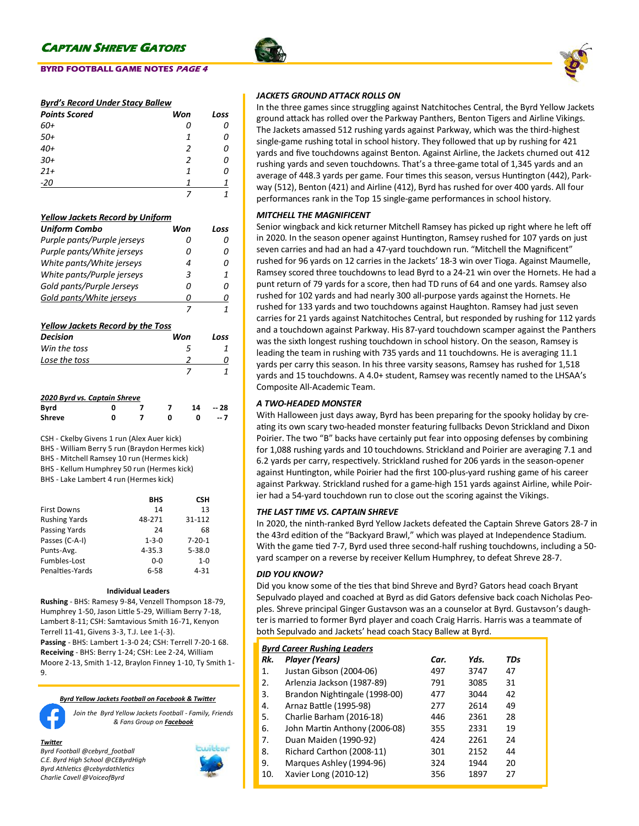## **BYRD FOOTBALL GAME NOTES PAGE 4**

## *Byrd's Record Under Stacy Ballew*

| <b>Points Scored</b> | Won | Loss |
|----------------------|-----|------|
| 60+                  | 0   | 0    |
| $50+$                | 1   | Ω    |
| $40+$                | 2   | Ω    |
| $30+$                | 2   | Ω    |
| $21+$                | 1   | Ω    |
| $-20$                |     |      |
|                      |     |      |

### *Yellow Jackets Record by Uniform*

| <b>Uniform Combo</b>                     | Won | Loss |
|------------------------------------------|-----|------|
| Purple pants/Purple jerseys              | 0   | Ω    |
| Purple pants/White jerseys               | n   | Ω    |
| White pants/White jerseys                | 4   | Ω    |
| White pants/Purple jerseys               | 3   | 1    |
| Gold pants/Purple Jerseys                | Ω   | n    |
| Gold pants/White jerseys                 | Ω   | Ω    |
|                                          | 7   | 1    |
| <b>Yellow Jackets Record by the Toss</b> |     |      |
| Decision                                 | Won | Loss |
| Win the toss                             | 5   |      |
| Lose the toss                            | 2   | O    |
|                                          | 7   | 1    |
| 2020 Byrd vs. Captain Shreve             |     |      |

| <b>Byrd</b>   |  |  | 14 | $-28$ |
|---------------|--|--|----|-------|
| <b>Shreve</b> |  |  |    | $-7$  |

CSH - Ckelby Givens 1 run (Alex Auer kick)

BHS - William Berry 5 run (Braydon Hermes kick)

BHS - Mitchell Ramsey 10 run (Hermes kick)

BHS - Kellum Humphrey 50 run (Hermes kick)

BHS - Lake Lambert 4 run (Hermes kick)

|                      | <b>BHS</b>  | CSН          |
|----------------------|-------------|--------------|
| <b>First Downs</b>   | 14          | 13           |
| <b>Rushing Yards</b> | 48-271      | 31-112       |
| Passing Yards        | 24          | 68           |
| Passes (C-A-I)       | $1 - 3 - 0$ | $7 - 20 - 1$ |
| Punts-Avg.           | $4 - 35.3$  | $5 - 38.0$   |
| Fumbles-Lost         | 0-0         | $1 - 0$      |
| Penalties-Yards      | $6 - 58$    | $4 - 31$     |

#### **Individual Leaders**

**Rushing** - BHS: Ramesy 9-84, Venzell Thompson 18-79, Humphrey 1-50, Jason Little 5-29, William Berry 7-18, Lambert 8-11; CSH: Samtavious Smith 16-71, Kenyon Terrell 11-41, Givens 3-3, T.J. Lee 1-(-3).

**Passing** - BHS: Lambert 1-3-0 24; CSH: Terrell 7-20-1 68. **Receiving** - BHS: Berry 1-24; CSH: Lee 2-24, William Moore 2-13, Smith 1-12, Braylon Finney 1-10, Ty Smith 1- 9.

#### *Byrd Yellow Jackets Football on Facebook & Twitter*



*Join the Byrd Yellow Jackets Football - Family, Friends & Fans Group on Facebook*

#### *Twitter*

*Byrd Football @cebyrd\_football C.E. Byrd High School @CEByrdHigh Byrd Athletics @cebyrdathletics Charlie Cavell @VoiceofByrd*



### *JACKETS GROUND ATTACK ROLLS ON*

In the three games since struggling against Natchitoches Central, the Byrd Yellow Jackets ground attack has rolled over the Parkway Panthers, Benton Tigers and Airline Vikings. The Jackets amassed 512 rushing yards against Parkway, which was the third-highest single-game rushing total in school history. They followed that up by rushing for 421 yards and five touchdowns against Benton. Against Airline, the Jackets churned out 412 rushing yards and seven touchdowns. That's a three-game total of 1,345 yards and an average of 448.3 yards per game. Four times this season, versus Huntington (442), Parkway (512), Benton (421) and Airline (412), Byrd has rushed for over 400 yards. All four performances rank in the Top 15 single-game performances in school history.

### *MITCHELL THE MAGNIFICENT*

Senior wingback and kick returner Mitchell Ramsey has picked up right where he left off in 2020. In the season opener against Huntington, Ramsey rushed for 107 yards on just seven carries and had an had a 47-yard touchdown run. "Mitchell the Magnificent" rushed for 96 yards on 12 carries in the Jackets' 18-3 win over Tioga. Against Maumelle, Ramsey scored three touchdowns to lead Byrd to a 24-21 win over the Hornets. He had a punt return of 79 yards for a score, then had TD runs of 64 and one yards. Ramsey also rushed for 102 yards and had nearly 300 all-purpose yards against the Hornets. He rushed for 133 yards and two touchdowns against Haughton. Ramsey had just seven carries for 21 yards against Natchitoches Central, but responded by rushing for 112 yards and a touchdown against Parkway. His 87-yard touchdown scamper against the Panthers was the sixth longest rushing touchdown in school history. On the season, Ramsey is leading the team in rushing with 735 yards and 11 touchdowns. He is averaging 11.1 yards per carry this season. In his three varsity seasons, Ramsey has rushed for 1,518 yards and 15 touchdowns. A 4.0+ student, Ramsey was recently named to the LHSAA's Composite All-Academic Team.

### *A TWO-HEADED MONSTER*

With Halloween just days away, Byrd has been preparing for the spooky holiday by creating its own scary two-headed monster featuring fullbacks Devon Strickland and Dixon Poirier. The two "B" backs have certainly put fear into opposing defenses by combining for 1,088 rushing yards and 10 touchdowns. Strickland and Poirier are averaging 7.1 and 6.2 yards per carry, respectively. Strickland rushed for 206 yards in the season-opener against Huntington, while Poirier had the first 100-plus-yard rushing game of his career against Parkway. Strickland rushed for a game-high 151 yards against Airline, while Poirier had a 54-yard touchdown run to close out the scoring against the Vikings.

## *THE LAST TIME VS. CAPTAIN SHREVE*

In 2020, the ninth-ranked Byrd Yellow Jackets defeated the Captain Shreve Gators 28-7 in the 43rd edition of the "Backyard Brawl," which was played at Independence Stadium. With the game tied 7-7, Byrd used three second-half rushing touchdowns, including a 50 yard scamper on a reverse by receiver Kellum Humphrey, to defeat Shreve 28-7.

### *DID YOU KNOW?*

Did you know some of the ties that bind Shreve and Byrd? Gators head coach Bryant Sepulvado played and coached at Byrd as did Gators defensive back coach Nicholas Peoples. Shreve principal Ginger Gustavson was an a counselor at Byrd. Gustavson's daughter is married to former Byrd player and coach Craig Harris. Harris was a teammate of both Sepulvado and Jackets' head coach Stacy Ballew at Byrd.

|     | <b>Byrd Career Rushing Leaders</b> |      |      |     |  |  |
|-----|------------------------------------|------|------|-----|--|--|
| Rk. | Player (Years)                     | Car. | Yds. | TDs |  |  |
| 1.  | Justan Gibson (2004-06)            | 497  | 3747 | 47  |  |  |
| 2.  | Arlenzia Jackson (1987-89)         | 791  | 3085 | 31  |  |  |
| 3.  | Brandon Nightingale (1998-00)      | 477  | 3044 | 42  |  |  |
| 4.  | Arnaz Battle (1995-98)             | 277  | 2614 | 49  |  |  |
| 5.  | Charlie Barham (2016-18)           | 446  | 2361 | 28  |  |  |
| 6.  | John Martin Anthony (2006-08)      | 355  | 2331 | 19  |  |  |
| 7.  | Duan Maiden (1990-92)              | 424  | 2261 | 24  |  |  |
| 8.  | Richard Carthon (2008-11)          | 301  | 2152 | 44  |  |  |
| 9.  | Marques Ashley (1994-96)           | 324  | 1944 | 20  |  |  |
| 10. | Xavier Long (2010-12)              | 356  | 1897 | 27  |  |  |
|     |                                    |      |      |     |  |  |



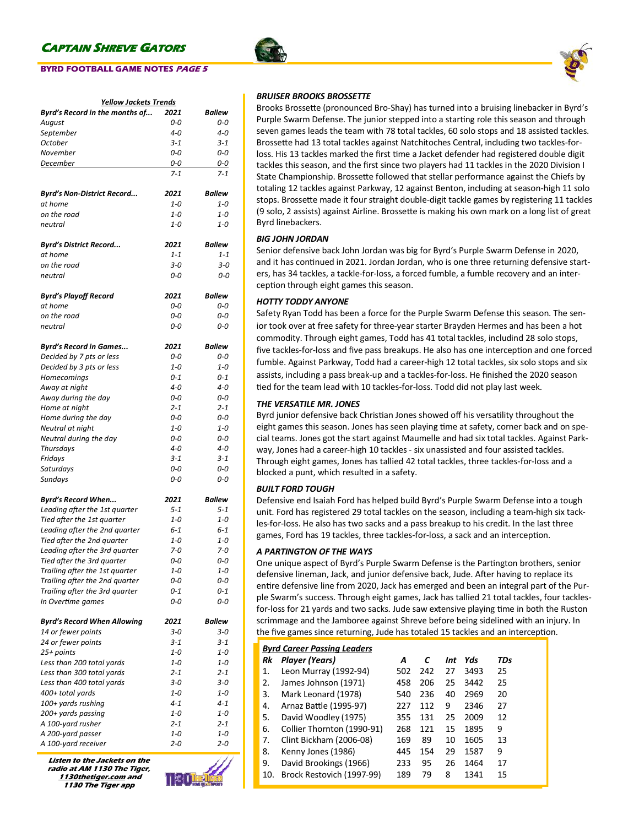## **BYRD FOOTBALL GAME NOTES PAGE 5**

| <u> Yellow Jackets Trends</u>                      |                |                |  |  |
|----------------------------------------------------|----------------|----------------|--|--|
| Byrd's Record in the months of                     | 2021           | Ballew         |  |  |
| August                                             | 0-0            | 0-0            |  |  |
| September                                          | $4 - 0$        | $4 - 0$        |  |  |
| October                                            | 3-1            | $3 - 1$        |  |  |
| November                                           | 0-0            | 0-0            |  |  |
| December                                           | 0-0            | 0-0            |  |  |
|                                                    | $7 - 1$        | $7 - 1$        |  |  |
|                                                    |                |                |  |  |
| Byrd's Non-District Record                         | 2021           | <b>Ballew</b>  |  |  |
| at home                                            | $1 - 0$        | $1 - 0$        |  |  |
| on the road                                        | 1-0            | 1-0            |  |  |
| neutral                                            | $1 - 0$        | $1 - 0$        |  |  |
|                                                    |                |                |  |  |
| Byrd's District Record…                            | 2021           | <b>Ballew</b>  |  |  |
| at home                                            | $1 - 1$        | $1 - 1$        |  |  |
| on the road                                        | $3 - 0$        | $3 - 0$        |  |  |
| neutral                                            | 0-0            | 0-0            |  |  |
|                                                    |                |                |  |  |
| Byrd's Playoff Record                              | 2021           | Ballew         |  |  |
| at home                                            | 0-0            | 0-0            |  |  |
| on the road                                        | 0-0            | 0-0            |  |  |
| neutral                                            | 0-0            | 0-0            |  |  |
|                                                    | 2021           | <b>Ballew</b>  |  |  |
| Byrd's Record in Games<br>Decided by 7 pts or less | 0-0            | 0-0            |  |  |
| Decided by 3 pts or less                           | $1 - 0$        | $1 - 0$        |  |  |
| Homecomings                                        | $0 - 1$        | $0 - 1$        |  |  |
|                                                    | $4 - 0$        | $4 - 0$        |  |  |
| Away at night                                      | 0-0            |                |  |  |
| Away during the day                                | $2 - 1$        | 0-0<br>$2 - 1$ |  |  |
| Home at night                                      | 0-0            | 0-0            |  |  |
| Home during the day                                | $1 - 0$        | $1 - 0$        |  |  |
| Neutral at night                                   |                | 0-0            |  |  |
| Neutral during the day                             | 0-0<br>$4 - 0$ | 4-0            |  |  |
| <b>Thursdays</b>                                   | 3-1            | $3 - 1$        |  |  |
| Fridays                                            | 0-0            | 0-0            |  |  |
| Saturdays                                          | 0-0            | 0-0            |  |  |
| Sundays                                            |                |                |  |  |
| Byrd's Record When                                 | 2021           | Ballew         |  |  |
| Leading after the 1st quarter                      | $5 - 1$        | $5 - 1$        |  |  |
| Tied after the 1st quarter                         | $1 - 0$        | $1 - 0$        |  |  |
| Leading after the 2nd quarter                      | $6 - 1$        | $6 - 1$        |  |  |
| Tied after the 2nd quarter                         | $1 - 0$        | $1 - 0$        |  |  |
| Leading after the 3rd quarter                      | $7 - 0$        | $7 - 0$        |  |  |
| Tied after the 3rd quarter                         | υ-υ            | 0-0            |  |  |
| Trailing after the 1st quarter                     | 1-0            | $1 - 0$        |  |  |
| Trailing after the 2nd quarter                     | 0-0            | 0-0            |  |  |
| Trailing after the 3rd quarter                     | $0 - 1$        | 0-1            |  |  |
| In Overtime games                                  | 0-0            | 0-0            |  |  |
|                                                    |                |                |  |  |
| <b>Byrd's Record When Allowing</b>                 | 2021           | Ballew         |  |  |
| 14 or fewer points                                 | $3 - 0$        | $3 - 0$        |  |  |
| 24 or fewer points                                 | $3 - 1$        | $3 - 1$        |  |  |
| 25+ points                                         | 1-0            | $1 - 0$        |  |  |
| Less than 200 total yards                          | $1 - 0$        | $1 - 0$        |  |  |
| Less than 300 total yards                          | 2-1            | $2 - 1$        |  |  |
| Less than 400 total yards                          | з-о            | 3-0            |  |  |
| 400+ total yards                                   | $1 - 0$        | 1-0            |  |  |
| 100+ yards rushing                                 | $4 - 1$        | $4 - 1$        |  |  |
| 200+ yards passing                                 | $1 - 0$        | $1 - 0$        |  |  |
| A 100-yard rusher                                  | $2 - 1$        | $2 - 1$        |  |  |
| A 200-yard passer                                  | 1-0            | 1-0            |  |  |
| A 100-yard receiver                                | $2 - 0$        | 2-0            |  |  |

**Listen to the Jackets on the radio at AM 1130 The Tiger, 1130thetiger.com and 1130 The Tiger app**



## *BRUISER BROOKS BROSSETTE*

Brooks Brossette (pronounced Bro-Shay) has turned into a bruising linebacker in Byrd's Purple Swarm Defense. The junior stepped into a starting role this season and through seven games leads the team with 78 total tackles, 60 solo stops and 18 assisted tackles. Brossette had 13 total tackles against Natchitoches Central, including two tackles-forloss. His 13 tackles marked the first time a Jacket defender had registered double digit tackles this season, and the first since two players had 11 tackles in the 2020 Division I State Championship. Brossette followed that stellar performance against the Chiefs by totaling 12 tackles against Parkway, 12 against Benton, including at season-high 11 solo stops. Brossette made it four straight double-digit tackle games by registering 11 tackles (9 solo, 2 assists) against Airline. Brossette is making his own mark on a long list of great Byrd linebackers.

## *BIG JOHN JORDAN*

Senior defensive back John Jordan was big for Byrd's Purple Swarm Defense in 2020, and it has continued in 2021. Jordan Jordan, who is one three returning defensive starters, has 34 tackles, a tackle-for-loss, a forced fumble, a fumble recovery and an interception through eight games this season.

## *HOTTY TODDY ANYONE*

Safety Ryan Todd has been a force for the Purple Swarm Defense this season. The senior took over at free safety for three-year starter Brayden Hermes and has been a hot commodity. Through eight games, Todd has 41 total tackles, includind 28 solo stops, five tackles-for-loss and five pass breakups. He also has one interception and one forced fumble. Against Parkway, Todd had a career-high 12 total tackles, six solo stops and six assists, including a pass break-up and a tackles-for-loss. He finished the 2020 season tied for the team lead with 10 tackles-for-loss. Todd did not play last week.

## *THE VERSATILE MR. JONES*

Byrd junior defensive back Christian Jones showed off his versatility throughout the eight games this season. Jones has seen playing time at safety, corner back and on special teams. Jones got the start against Maumelle and had six total tackles. Against Parkway, Jones had a career-high 10 tackles - six unassisted and four assisted tackles. Through eight games, Jones has tallied 42 total tackles, three tackles-for-loss and a blocked a punt, which resulted in a safety.

## *BUILT FORD TOUGH*

Defensive end Isaiah Ford has helped build Byrd's Purple Swarm Defense into a tough unit. Ford has registered 29 total tackles on the season, including a team-high six tackles-for-loss. He also has two sacks and a pass breakup to his credit. In the last three games, Ford has 19 tackles, three tackles-for-loss, a sack and an interception.

## *A PARTINGTON OF THE WAYS*

One unique aspect of Byrd's Purple Swarm Defense is the Partington brothers, senior defensive lineman, Jack, and junior defensive back, Jude. After having to replace its entire defensive line from 2020, Jack has emerged and been an integral part of the Purple Swarm's success. Through eight games, Jack has tallied 21 total tackles, four tacklesfor-loss for 21 yards and two sacks. Jude saw extensive playing time in both the Ruston scrimmage and the Jamboree against Shreve before being sidelined with an injury. In the five games since returning, Jude has totaled 15 tackles and an interception.

|     |                            | <b>Byrd Career Passing Leaders</b> |     |     |      |     |  |  |
|-----|----------------------------|------------------------------------|-----|-----|------|-----|--|--|
| Rk  | Player (Years)             | А                                  | С   | Int | Yds  | TDs |  |  |
| 1.  | Leon Murray (1992-94)      | 502                                | 242 | 27  | 3493 | 25  |  |  |
| 2.  | James Johnson (1971)       | 458                                | 206 | 25  | 3442 | 25  |  |  |
| 3.  | Mark Leonard (1978)        | 540                                | 236 | 40  | 2969 | 20  |  |  |
| 4.  | Arnaz Battle (1995-97)     | 227                                | 112 | ٩   | 2346 | 27  |  |  |
| 5.  | David Woodley (1975)       | 355                                | 131 | 25  | 2009 | 12  |  |  |
| 6.  | Collier Thornton (1990-91) | 268                                | 121 | 15  | 1895 | 9   |  |  |
| 7.  | Clint Bickham (2006-08)    | 169                                | 89  | 10  | 1605 | 13  |  |  |
| 8.  | Kenny Jones (1986)         | 445                                | 154 | 29  | 1587 | 9   |  |  |
| 9.  | David Brookings (1966)     | 233                                | 95  | 26  | 1464 | 17  |  |  |
| 10. | Brock Restovich (1997-99)  | 189                                | 79  | 8   | 1341 | 15  |  |  |

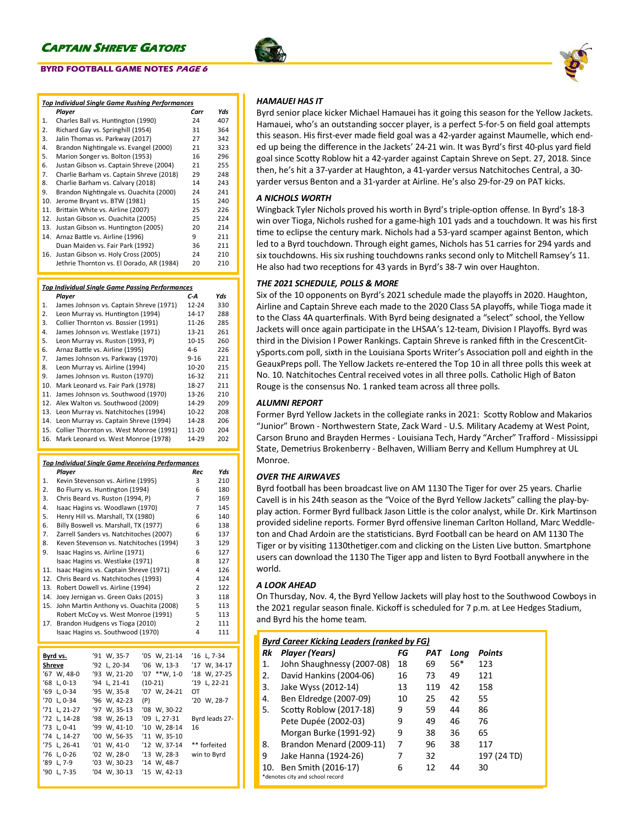## **BYRD FOOTBALL GAME NOTES PAGE 6**

|     | <b>Top Individual Single Game Rushing Performances</b> |      |     |  |  |
|-----|--------------------------------------------------------|------|-----|--|--|
|     | Player                                                 | Carr | Yds |  |  |
| 1.  | Charles Ball vs. Huntington (1990)                     | 24   | 407 |  |  |
| 2.  | Richard Gay vs. Springhill (1954)                      | 31   | 364 |  |  |
| 3.  | Jalin Thomas vs. Parkway (2017)                        | 27   | 342 |  |  |
| 4.  | Brandon Nightingale vs. Evangel (2000)                 | 21   | 323 |  |  |
| 5.  | Marion Songer vs. Bolton (1953)                        | 16   | 296 |  |  |
| 6.  | Justan Gibson vs. Captain Shreve (2004)                | 21   | 255 |  |  |
| 7.  | Charlie Barham vs. Captain Shreve (2018)               | 29   | 248 |  |  |
| 8.  | Charlie Barham vs. Calvary (2018)                      | 14   | 243 |  |  |
| 9.  | Brandon Nightingale vs. Ouachita (2000)                | 24   | 241 |  |  |
| 10. | Jerome Bryant vs. BTW (1981)                           | 15   | 240 |  |  |
| 11. | Brittain White vs. Airline (2007)                      | 25   | 226 |  |  |
| 12. | Justan Gibson vs. Ouachita (2005)                      | 25   | 224 |  |  |
| 13. | Justan Gibson vs. Huntington (2005)                    | 20   | 214 |  |  |
| 14. | Arnaz Battle vs. Airline (1996)                        | 9    | 211 |  |  |
|     | Duan Maiden vs. Fair Park (1992)                       | 36   | 211 |  |  |
| 16. | Justan Gibson vs. Holy Cross (2005)                    | 24   | 210 |  |  |
|     | Jethrie Thornton vs. El Dorado, AR (1984)              | 20   | 210 |  |  |

#### *Top Individual Single Game Passing Performances*

|     | rop mannauar single Game Fassing Ferjormances |           |     |
|-----|-----------------------------------------------|-----------|-----|
|     | Player                                        | C-A       | Yds |
| 1.  | James Johnson vs. Captain Shreve (1971)       | $12 - 24$ | 330 |
| 2.  | Leon Murray vs. Huntington (1994)             | 14-17     | 288 |
| 3.  | Collier Thornton vs. Bossier (1991)           | $11 - 26$ | 285 |
| 4.  | James Johnson vs. Westlake (1971)             | $13 - 21$ | 261 |
| 5.  | Leon Murray vs. Ruston (1993, P)              | 10-15     | 260 |
| 6.  | Arnaz Battle vs. Airline (1995)               | $4 - 6$   | 226 |
| 7.  | James Johnson vs. Parkway (1970)              | $9 - 16$  | 221 |
| 8.  | Leon Murray vs. Airline (1994)                | 10-20     | 215 |
| 9.  | James Johnson vs. Ruston (1970)               | 16-32     | 211 |
| 10. | Mark Leonard vs. Fair Park (1978)             | 18-27     | 211 |
| 11. | James Johnson vs. Southwood (1970)            | 13-26     | 210 |
| 12. | Alex Walton vs. Southwood (2009)              | 14-29     | 209 |
| 13. | Leon Murray vs. Natchitoches (1994)           | $10 - 22$ | 208 |
| 14. | Leon Murray vs. Captain Shreve (1994)         | 14-28     | 206 |
| 15. | Collier Thornton vs. West Monroe (1991)       | 11-20     | 204 |
| 16. | Mark Leonard vs. West Monroe (1978)           | 14-29     | 202 |

## *Top Individual Single Game Receiving Performances*

| <u>Top Inalviauai Single Game Receiving Performances</u> |                                    |                                  |                                         |     |              |                |                |
|----------------------------------------------------------|------------------------------------|----------------------------------|-----------------------------------------|-----|--------------|----------------|----------------|
|                                                          | Player                             |                                  |                                         |     |              | Rec            | Yds            |
| 1.                                                       | Kevin Stevenson vs. Airline (1995) | 3                                | 210                                     |     |              |                |                |
| $\overline{2}$ .                                         | Bo Flurry vs. Huntington (1994)    | 6                                | 180                                     |     |              |                |                |
| 3.                                                       |                                    | Chris Beard vs. Ruston (1994, P) |                                         |     |              |                | 169            |
| 4.                                                       | Isaac Hagins vs. Woodlawn (1970)   | 7                                | 145                                     |     |              |                |                |
| 5.                                                       |                                    |                                  | Henry Hill vs. Marshall, TX (1980)      |     |              | 6              | 140            |
| 6.                                                       |                                    |                                  | Billy Boswell vs. Marshall, TX (1977)   |     |              | 6              | 138            |
| 7.                                                       |                                    |                                  | Zarrell Sanders vs. Natchitoches (2007) |     |              | 6              | 137            |
| 8.                                                       |                                    |                                  | Keven Stevenson vs. Natchitoches (1994) |     |              | 3              | 129            |
| 9.                                                       |                                    |                                  | Isaac Hagins vs. Airline (1971)         |     |              | 6              | 127            |
|                                                          |                                    |                                  | Isaac Hagins vs. Westlake (1971)        |     |              | 8              | 127            |
| 11.                                                      |                                    |                                  | Isaac Hagins vs. Captain Shreve (1971)  |     |              | 4              | 126            |
| 12.                                                      |                                    |                                  | Chris Beard vs. Natchitoches (1993)     |     |              | 4              | 124            |
| 13.                                                      |                                    |                                  | Robert Dowell vs. Airline (1994)        |     |              | $\overline{2}$ | 122            |
| 14.                                                      |                                    |                                  | Joey Jernigan vs. Green Oaks (2015)     |     |              | 3              | 118            |
| 15.                                                      |                                    |                                  | John Martin Anthony vs. Ouachita (2008) |     |              | 5              | 113            |
|                                                          |                                    |                                  | Robert McCoy vs. West Monroe (1991)     |     |              | 5              | 113            |
| 17.                                                      |                                    |                                  | Brandon Hudgens vs Tioga (2010)         |     |              | $\overline{2}$ | 111            |
|                                                          |                                    |                                  | Isaac Hagins vs. Southwood (1970)       |     |              | 4              | 111            |
|                                                          |                                    |                                  |                                         |     |              |                |                |
|                                                          | Byrd vs.                           | '91                              | W, 35-7                                 |     | '05 W, 21-14 | '16            | L, 7-34        |
| Shreve                                                   |                                    | '92                              | $L. 20-34$                              |     | '06 W. 13-3  | 17'            | W. 34-17       |
| '67                                                      | W, 48-0                            |                                  | '93 W, 21-20                            | '07 | $**W, 1-0$   | $^{\prime}18$  | W, 27-25       |
| '68                                                      | $L, 0-13$                          | '94'                             | L, 21-41                                |     | $(10-21)$    | $^{\prime}19$  | L, 22-21       |
| '69                                                      | $L, 0-34$                          |                                  | '95 W, 35-8                             |     | '07 W, 24-21 | OT             |                |
|                                                          | '70 L. 0-34                        |                                  | '96 W. 42-23                            | (P) |              |                | '20 W, 28-7    |
| '71                                                      | $L. 21-27$                         |                                  | '97 W, 35-13                            |     | '08 W, 30-22 |                |                |
| '72                                                      | L, 14-28                           |                                  | '98 W, 26-13                            |     | '09 L, 27-31 |                | Byrd leads 27- |
| 73'                                                      | $L, 0-41$                          |                                  | '99 W, 41-10                            |     | '10 W, 28-14 | 16             |                |
|                                                          | '74 L, 14-27                       |                                  | '00 W. 56-35                            |     | '11 W, 35-10 |                |                |
| '75                                                      | L, 26-41                           |                                  | $'01 \, W, 41-0$                        |     | '12 W, 37-14 |                | ** forfeited   |
|                                                          | '76 L, 0-26                        |                                  | '02 W, 28-0                             |     | '13 W, 28-3  |                | win to Byrd    |
|                                                          | '89 L, 7-9                         |                                  | '03 W, 30-23                            |     | '14 W, 48-7  |                |                |
| '90                                                      | $L.7 - 35$                         |                                  | '04 W. 30-13                            |     | '15 W. 42-13 |                |                |
|                                                          |                                    |                                  |                                         |     |              |                |                |



## *HAMAUEI HAS IT*

Byrd senior place kicker Michael Hamauei has it going this season for the Yellow Jackets. Hamauei, who's an outstanding soccer player, is a perfect 5-for-5 on field goal attempts this season. His first-ever made field goal was a 42-yarder against Maumelle, which ended up being the difference in the Jackets' 24-21 win. It was Byrd's first 40-plus yard field goal since Scotty Roblow hit a 42-yarder against Captain Shreve on Sept. 27, 2018. Since then, he's hit a 37-yarder at Haughton, a 41-yarder versus Natchitoches Central, a 30 yarder versus Benton and a 31-yarder at Airline. He's also 29-for-29 on PAT kicks.

### *A NICHOLS WORTH*

Wingback Tyler Nichols proved his worth in Byrd's triple-option offense. In Byrd's 18-3 win over Tioga, Nichols rushed for a game-high 101 yads and a touchdown. It was his first time to eclipse the century mark. Nichols had a 53-yard scamper against Benton, which led to a Byrd touchdown. Through eight games, Nichols has 51 carries for 294 yards and six touchdowns. His six rushing touchdowns ranks second only to Mitchell Ramsey's 11. He also had two receptions for 43 yards in Byrd's 38-7 win over Haughton.

### *THE 2021 SCHEDULE, POLLS & MORE*

Six of the 10 opponents on Byrd's 2021 schedule made the playoffs in 2020. Haughton, Airline and Captain Shreve each made to the 2020 Class 5A playoffs, while Tioga made it to the Class 4A quarterfinals. With Byrd being designated a "select" school, the Yellow Jackets will once again participate in the LHSAA's 12-team, Division I Playoffs. Byrd was third in the Division I Power Rankings. Captain Shreve is ranked fifth in the CrescentCitySports.com poll, sixth in the Louisiana Sports Writer's Association poll and eighth in the GeauxPreps poll. The Yellow Jackets re-entered the Top 10 in all three polls this week at No. 10. Natchitoches Central received votes in all three polls. Catholic High of Baton Rouge is the consensus No. 1 ranked team across all three polls.

## *ALUMNI REPORT*

Former Byrd Yellow Jackets in the collegiate ranks in 2021: Scotty Roblow and Makarios "Junior" Brown - Northwestern State, Zack Ward - U.S. Military Academy at West Point, Carson Bruno and Brayden Hermes - Louisiana Tech, Hardy "Archer" Trafford - Mississippi State, Demetrius Brokenberry - Belhaven, William Berry and Kellum Humphrey at UL Monroe.

### *OVER THE AIRWAVES*

Byrd football has been broadcast live on AM 1130 The Tiger for over 25 years. Charlie Cavell is in his 24th season as the "Voice of the Byrd Yellow Jackets" calling the play-byplay action. Former Byrd fullback Jason Little is the color analyst, while Dr. Kirk Martinson provided sideline reports. Former Byrd offensive lineman Carlton Holland, Marc Weddleton and Chad Ardoin are the statisticians. Byrd Football can be heard on AM 1130 The Tiger or by visiting 1130thetiger.com and clicking on the Listen Live button. Smartphone users can download the 1130 The Tiger app and listen to Byrd Football anywhere in the world.

### *A LOOK AHEAD*

On Thursday, Nov. 4, the Byrd Yellow Jackets will play host to the Southwood Cowboys in the 2021 regular season finale. Kickoff is scheduled for 7 p.m. at Lee Hedges Stadium, and Byrd his the home team.

| Byrd Career Kicking Leaders (ranked by FG) |  |
|--------------------------------------------|--|
|                                            |  |

| Rk | Player (Years)                  | FG | PAT | Long  | <b>Points</b> |
|----|---------------------------------|----|-----|-------|---------------|
| 1. | John Shaughnessy (2007-08)      | 18 | 69  | $56*$ | 123           |
| 2. | David Hankins (2004-06)         | 16 | 73  | 49    | 121           |
| 3. | Jake Wyss (2012-14)             | 13 | 119 | 42    | 158           |
| 4. | Ben Eldredge (2007-09)          | 10 | 25  | 42    | 55            |
| 5. | Scotty Roblow (2017-18)         | 9  | 59  | 44    | 86            |
|    | Pete Dupée (2002-03)            | 9  | 49  | 46    | 76            |
|    | Morgan Burke (1991-92)          | 9  | 38  | 36    | 65            |
| 8. | Brandon Menard (2009-11)        | 7  | 96  | 38    | 117           |
| 9  | Jake Hanna (1924-26)            | 7  | 32  |       | 197 (24 TD)   |
|    | Ben Smith (2016-17)<br>10.      | 6  | 12  | 44    | 30            |
|    | *denotes city and school record |    |     |       |               |

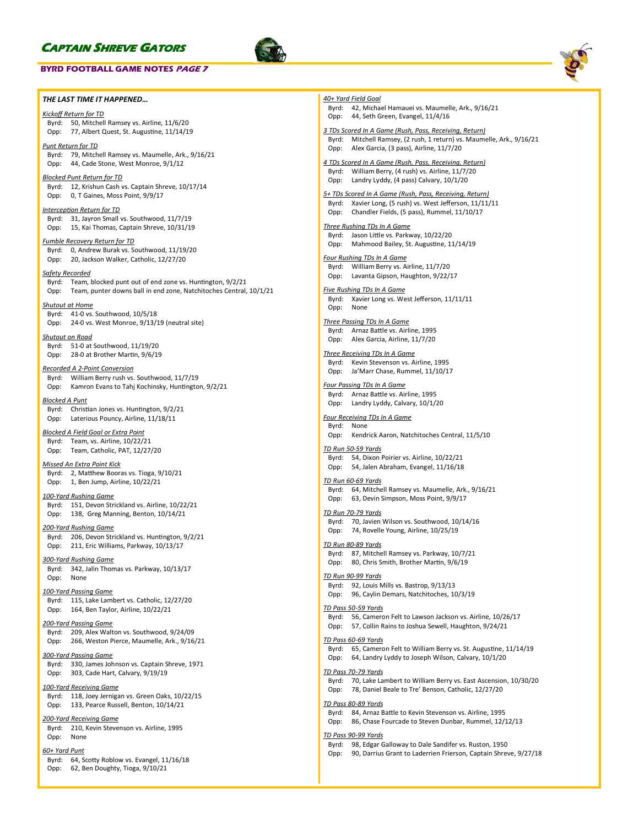### **BYRD FOOTBALL GAME NOTES PAGE 7**





| THE LAST TIME IT HAPPENED                                                                                        | 40+ Yard Field Goal                                                                                                                    |
|------------------------------------------------------------------------------------------------------------------|----------------------------------------------------------------------------------------------------------------------------------------|
| Kickoff Return for TD                                                                                            | Byrd: 42, Michael Hamauei vs. Maumelle, Ark., 9/16/21                                                                                  |
| Byrd: 50, Mitchell Ramsey vs. Airline, 11/6/20                                                                   | 44, Seth Green, Evangel, 11/4/16<br>Opp:                                                                                               |
| Opp: 77, Albert Quest, St. Augustine, 11/14/19                                                                   | 3 TDs Scored In A Game (Rush, Pass, Receiving, Return)                                                                                 |
| <u> Punt Return for TD</u>                                                                                       | Byrd: Mitchell Ramsey, (2 rush, 1 return) vs. Maumelle, Ark., 9/16/21                                                                  |
| Byrd: 79, Mitchell Ramsey vs. Maumelle, Ark., 9/16/21                                                            | Alex Garcia, (3 pass), Airline, 11/7/20<br>Opp:                                                                                        |
| Opp: 44, Cade Stone, West Monroe, 9/1/12                                                                         | 4 TDs Scored In A Game (Rush, Pass, Receiving, Return)                                                                                 |
| <u>Blocked Punt Return for TD</u>                                                                                | Byrd: William Berry, (4 rush) vs. Airline, 11/7/20                                                                                     |
| Byrd: 12, Krishun Cash vs. Captain Shreve, 10/17/14                                                              | Opp:<br>Landry Lyddy, (4 pass) Calvary, 10/1/20                                                                                        |
| Opp: 0, T Gaines, Moss Point, 9/9/17                                                                             | 5+ TDs Scored In A Game (Rush, Pass, Receiving, Return)                                                                                |
| <u> Interception Return for TD</u>                                                                               | Byrd: Xavier Long, (5 rush) vs. West Jefferson, 11/11/11                                                                               |
| Byrd: 31, Jayron Small vs. Southwood, 11/7/19                                                                    | Chandler Fields, (5 pass), Rummel, 11/10/17<br>Opp:                                                                                    |
| 15, Kai Thomas, Captain Shreve, 10/31/19<br>Opp:                                                                 | Three Rushing TDs In A Game                                                                                                            |
| Fumble Recovery Return for TD                                                                                    | Byrd: Jason Little vs. Parkway, 10/22/20                                                                                               |
| Byrd: 0, Andrew Burak vs. Southwood, 11/19/20                                                                    | Opp: Mahmood Bailey, St. Augustine, 11/14/19                                                                                           |
| 20, Jackson Walker, Catholic, 12/27/20<br>Opp:                                                                   | <b>Four Rushing TDs In A Game</b>                                                                                                      |
| <u>Safety Recorded</u>                                                                                           | Byrd: William Berry vs. Airline, 11/7/20                                                                                               |
| Byrd: Team, blocked punt out of end zone vs. Huntington, 9/2/21                                                  | Lavanta Gipson, Haughton, 9/22/17<br>Opp:                                                                                              |
| Team, punter downs ball in end zone, Natchitoches Central, 10/1/21<br>Opp:                                       | <b>Five Rushing TDs In A Game</b>                                                                                                      |
|                                                                                                                  | Byrd: Xavier Long vs. West Jefferson, 11/11/11                                                                                         |
| Shutout at Home<br>Byrd: 41-0 vs. Southwood, 10/5/18                                                             | None<br>Opp:                                                                                                                           |
| 24-0 vs. West Monroe, 9/13/19 (neutral site)<br>Opp:                                                             | <b>Three Passing TDs In A Game</b>                                                                                                     |
|                                                                                                                  | Byrd: Arnaz Battle vs. Airline, 1995                                                                                                   |
| <u>Shutout on Road</u><br>Byrd: 51-0 at Southwood, 11/19/20                                                      | Alex Garcia, Airline, 11/7/20<br>Opp:                                                                                                  |
| 28-0 at Brother Martin, 9/6/19<br>Opp:                                                                           | Three Receiving TDs In A Game                                                                                                          |
|                                                                                                                  | Byrd: Kevin Stevenson vs. Airline, 1995                                                                                                |
| Recorded A 2-Point Conversion                                                                                    | Ja'Marr Chase, Rummel, 11/10/17<br>Opp:                                                                                                |
| William Berry rush vs. Southwood, 11/7/19<br>Byrd:<br>Kamron Evans to Tahj Kochinsky, Huntington, 9/2/21<br>Opp: | <b>Four Passing TDs In A Game</b>                                                                                                      |
|                                                                                                                  | Byrd: Arnaz Battle vs. Airline, 1995                                                                                                   |
| <u>Blocked A Punt</u>                                                                                            | Opp: Landry Lyddy, Calvary, 10/1/20                                                                                                    |
| Byrd: Christian Jones vs. Huntington, 9/2/21<br>Laterious Pouncy, Airline, 11/18/11<br>Opp:                      | <b>Four Receiving TDs In A Game</b>                                                                                                    |
|                                                                                                                  | Byrd: None                                                                                                                             |
| <u>Blocked A Field Goal or Extra Point</u>                                                                       | Kendrick Aaron, Natchitoches Central, 11/5/10<br>Opp:                                                                                  |
| Byrd: Team, vs. Airline, 10/22/21<br>Team, Catholic, PAT, 12/27/20<br>Opp:                                       | <u>TD Run 50-59 Yards</u>                                                                                                              |
|                                                                                                                  | Byrd: 54, Dixon Poirier vs. Airline, 10/22/21                                                                                          |
| <u>Missed An Extra Point Kick</u>                                                                                | Opp: 54, Jalen Abraham, Evangel, 11/16/18                                                                                              |
| Byrd: 2, Matthew Booras vs. Tioga, 9/10/21                                                                       | <u>TD Run 60-69 Yards</u>                                                                                                              |
| Opp: 1, Ben Jump, Airline, 10/22/21                                                                              | Byrd: 64, Mitchell Ramsey vs. Maumelle, Ark., 9/16/21                                                                                  |
| <u>100-Yard Rushing Game</u>                                                                                     | 63, Devin Simpson, Moss Point, 9/9/17<br>Opp:                                                                                          |
| Byrd: 151, Devon Strickland vs. Airline, 10/22/21<br>Opp: 138, Greg Manning, Benton, 10/14/21                    | <u>TD Run 70-79 Yards</u>                                                                                                              |
|                                                                                                                  | Byrd: 70, Javien Wilson vs. Southwood, 10/14/16                                                                                        |
| <u>200-Yard Rushing Game</u>                                                                                     | Opp: 74, Rovelle Young, Airline, 10/25/19                                                                                              |
| Byrd: 206, Devon Strickland vs. Huntington, 9/2/21<br>Opp: 211, Eric Williams, Parkway, 10/13/17                 | <u>TD Run 80-89 Yards</u>                                                                                                              |
|                                                                                                                  | Byrd: 87, Mitchell Ramsey vs. Parkway, 10/7/21                                                                                         |
| <u>300-Yard Rushing Game</u>                                                                                     | Opp: 80, Chris Smith, Brother Martin, 9/6/19                                                                                           |
| Byrd: 342, Jalin Thomas vs. Parkway, 10/13/17                                                                    | TD Run 90-99 Yards                                                                                                                     |
| Opp:<br>None                                                                                                     | Byrd: 92, Louis Mills vs. Bastrop, 9/13/13                                                                                             |
| 100-Yard Passing Game                                                                                            | 96, Caylin Demars, Natchitoches, 10/3/19<br>Opp:                                                                                       |
| Byrd: 115, Lake Lambert vs. Catholic, 12/27/20                                                                   | TD Pass 50-59 Yards                                                                                                                    |
| Opp:<br>164, Ben Taylor, Airline, 10/22/21                                                                       | Byrd: 56, Cameron Felt to Lawson Jackson vs. Airline, 10/26/17                                                                         |
| 200-Yard Passing Game                                                                                            | 57, Collin Rains to Joshua Sewell, Haughton, 9/24/21<br>Opp:                                                                           |
| 209, Alex Walton vs. Southwood, 9/24/09<br>Byrd:                                                                 |                                                                                                                                        |
| 266, Weston Pierce, Maumelle, Ark., 9/16/21<br>Opp:                                                              | TD Pass 60-69 Yards<br>Byrd: 65, Cameron Felt to William Berry vs. St. Augustine, 11/14/19                                             |
| <u>300-Yard Passing Game</u>                                                                                     | 64, Landry Lyddy to Joseph Wilson, Calvary, 10/1/20<br>Opp:                                                                            |
| 330, James Johnson vs. Captain Shreve, 1971<br>Byrd:                                                             |                                                                                                                                        |
| 303, Cade Hart, Calvary, 9/19/19<br>Opp:                                                                         | TD Pass 70-79 Yards<br>Byrd: 70, Lake Lambert to William Berry vs. East Ascension, 10/30/20                                            |
| 100-Yard Receiving Game                                                                                          | 78, Daniel Beale to Tre' Benson, Catholic, 12/27/20<br>Opp:                                                                            |
| 118, Joey Jernigan vs. Green Oaks, 10/22/15<br>Byrd:                                                             |                                                                                                                                        |
| 133, Pearce Russell, Benton, 10/14/21<br>Opp:                                                                    | <u>TD Pass 80-89 Yards</u>                                                                                                             |
| <u> 200-Yard Receiving Game</u>                                                                                  | Byrd: 84, Arnaz Battle to Kevin Stevenson vs. Airline, 1995<br>86, Chase Fourcade to Steven Dunbar, Rummel, 12/12/13<br>Opp:           |
| 210, Kevin Stevenson vs. Airline, 1995<br>Byrd:                                                                  |                                                                                                                                        |
| Opp:<br>None                                                                                                     | TD Pass 90-99 Yards                                                                                                                    |
| <u>60+ Yard Punt</u>                                                                                             | Byrd: 98, Edgar Galloway to Dale Sandifer vs. Ruston, 1950<br>90, Darrius Grant to Laderrien Frierson, Captain Shreve, 9/27/18<br>Opp: |
| 64, Scotty Roblow vs. Evangel, 11/16/18<br>Byrd:                                                                 |                                                                                                                                        |
| 62, Ben Doughty, Tioga, 9/10/21<br>Opp:                                                                          |                                                                                                                                        |
|                                                                                                                  |                                                                                                                                        |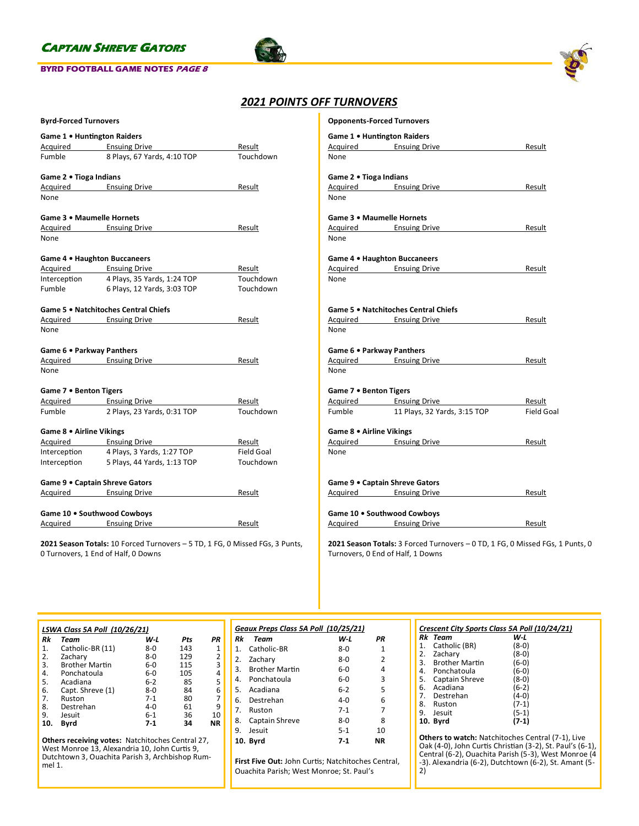### **BYRD FOOTBALL GAME NOTES PAGE 8**





## *2021 POINTS OFF TURNOVERS*

| Game 1 • Huntington Raiders<br>Acquired Ensuing Drive<br>Result<br>Touchdown<br>Fumble<br>8 Plays, 67 Yards, 4:10 TOP<br>Game 2 . Tioga Indians<br>Acquired Ensuing Drive<br>Result<br>None<br>Game 3 . Maumelle Hornets<br>Acquired Ensuing Drive<br>Result<br>None<br>Game 4 . Haughton Buccaneers<br>Acquired Ensuing Drive<br>Result<br>4 Plays, 35 Yards, 1:24 TOP<br>Touchdown<br>Interception<br>Fumble<br>6 Plays, 12 Yards, 3:03 TOP<br>Touchdown<br>Game 5 . Natchitoches Central Chiefs<br>Acquired Ensuing Drive<br>Result<br>None<br>Game 6 . Parkway Panthers<br>Acquired Ensuing Drive<br>Result<br>None<br>Game 7 . Benton Tigers<br>Acquired Ensuing Drive<br>Result<br>Touchdown<br>Fumble<br>2 Plays, 23 Yards, 0:31 TOP<br>Game 8 . Airline Vikings<br>Acquired Ensuing Drive<br>Result<br><b>Field Goal</b><br>4 Plays, 3 Yards, 1:27 TOP<br>Interception<br>Interception<br>5 Plays, 44 Yards, 1:13 TOP<br>Touchdown<br>Game 9 . Captain Shreve Gators<br>Acquired Ensuing Drive<br>Result<br>Game 10 . Southwood Cowboys<br>Acquired Ensuing Drive<br>Result | <b>Byrd-Forced Turnovers</b> |  |  |  |  |  |  |  |  |  |
|-------------------------------------------------------------------------------------------------------------------------------------------------------------------------------------------------------------------------------------------------------------------------------------------------------------------------------------------------------------------------------------------------------------------------------------------------------------------------------------------------------------------------------------------------------------------------------------------------------------------------------------------------------------------------------------------------------------------------------------------------------------------------------------------------------------------------------------------------------------------------------------------------------------------------------------------------------------------------------------------------------------------------------------------------------------------------------------|------------------------------|--|--|--|--|--|--|--|--|--|
|                                                                                                                                                                                                                                                                                                                                                                                                                                                                                                                                                                                                                                                                                                                                                                                                                                                                                                                                                                                                                                                                                     |                              |  |  |  |  |  |  |  |  |  |
|                                                                                                                                                                                                                                                                                                                                                                                                                                                                                                                                                                                                                                                                                                                                                                                                                                                                                                                                                                                                                                                                                     |                              |  |  |  |  |  |  |  |  |  |
|                                                                                                                                                                                                                                                                                                                                                                                                                                                                                                                                                                                                                                                                                                                                                                                                                                                                                                                                                                                                                                                                                     |                              |  |  |  |  |  |  |  |  |  |
|                                                                                                                                                                                                                                                                                                                                                                                                                                                                                                                                                                                                                                                                                                                                                                                                                                                                                                                                                                                                                                                                                     |                              |  |  |  |  |  |  |  |  |  |
|                                                                                                                                                                                                                                                                                                                                                                                                                                                                                                                                                                                                                                                                                                                                                                                                                                                                                                                                                                                                                                                                                     |                              |  |  |  |  |  |  |  |  |  |
|                                                                                                                                                                                                                                                                                                                                                                                                                                                                                                                                                                                                                                                                                                                                                                                                                                                                                                                                                                                                                                                                                     |                              |  |  |  |  |  |  |  |  |  |
|                                                                                                                                                                                                                                                                                                                                                                                                                                                                                                                                                                                                                                                                                                                                                                                                                                                                                                                                                                                                                                                                                     |                              |  |  |  |  |  |  |  |  |  |
|                                                                                                                                                                                                                                                                                                                                                                                                                                                                                                                                                                                                                                                                                                                                                                                                                                                                                                                                                                                                                                                                                     |                              |  |  |  |  |  |  |  |  |  |
|                                                                                                                                                                                                                                                                                                                                                                                                                                                                                                                                                                                                                                                                                                                                                                                                                                                                                                                                                                                                                                                                                     |                              |  |  |  |  |  |  |  |  |  |
|                                                                                                                                                                                                                                                                                                                                                                                                                                                                                                                                                                                                                                                                                                                                                                                                                                                                                                                                                                                                                                                                                     |                              |  |  |  |  |  |  |  |  |  |
|                                                                                                                                                                                                                                                                                                                                                                                                                                                                                                                                                                                                                                                                                                                                                                                                                                                                                                                                                                                                                                                                                     |                              |  |  |  |  |  |  |  |  |  |
|                                                                                                                                                                                                                                                                                                                                                                                                                                                                                                                                                                                                                                                                                                                                                                                                                                                                                                                                                                                                                                                                                     |                              |  |  |  |  |  |  |  |  |  |
|                                                                                                                                                                                                                                                                                                                                                                                                                                                                                                                                                                                                                                                                                                                                                                                                                                                                                                                                                                                                                                                                                     |                              |  |  |  |  |  |  |  |  |  |
|                                                                                                                                                                                                                                                                                                                                                                                                                                                                                                                                                                                                                                                                                                                                                                                                                                                                                                                                                                                                                                                                                     |                              |  |  |  |  |  |  |  |  |  |
|                                                                                                                                                                                                                                                                                                                                                                                                                                                                                                                                                                                                                                                                                                                                                                                                                                                                                                                                                                                                                                                                                     |                              |  |  |  |  |  |  |  |  |  |
|                                                                                                                                                                                                                                                                                                                                                                                                                                                                                                                                                                                                                                                                                                                                                                                                                                                                                                                                                                                                                                                                                     |                              |  |  |  |  |  |  |  |  |  |
|                                                                                                                                                                                                                                                                                                                                                                                                                                                                                                                                                                                                                                                                                                                                                                                                                                                                                                                                                                                                                                                                                     |                              |  |  |  |  |  |  |  |  |  |
|                                                                                                                                                                                                                                                                                                                                                                                                                                                                                                                                                                                                                                                                                                                                                                                                                                                                                                                                                                                                                                                                                     |                              |  |  |  |  |  |  |  |  |  |
|                                                                                                                                                                                                                                                                                                                                                                                                                                                                                                                                                                                                                                                                                                                                                                                                                                                                                                                                                                                                                                                                                     |                              |  |  |  |  |  |  |  |  |  |
|                                                                                                                                                                                                                                                                                                                                                                                                                                                                                                                                                                                                                                                                                                                                                                                                                                                                                                                                                                                                                                                                                     |                              |  |  |  |  |  |  |  |  |  |
|                                                                                                                                                                                                                                                                                                                                                                                                                                                                                                                                                                                                                                                                                                                                                                                                                                                                                                                                                                                                                                                                                     |                              |  |  |  |  |  |  |  |  |  |
|                                                                                                                                                                                                                                                                                                                                                                                                                                                                                                                                                                                                                                                                                                                                                                                                                                                                                                                                                                                                                                                                                     |                              |  |  |  |  |  |  |  |  |  |
|                                                                                                                                                                                                                                                                                                                                                                                                                                                                                                                                                                                                                                                                                                                                                                                                                                                                                                                                                                                                                                                                                     |                              |  |  |  |  |  |  |  |  |  |
|                                                                                                                                                                                                                                                                                                                                                                                                                                                                                                                                                                                                                                                                                                                                                                                                                                                                                                                                                                                                                                                                                     |                              |  |  |  |  |  |  |  |  |  |
|                                                                                                                                                                                                                                                                                                                                                                                                                                                                                                                                                                                                                                                                                                                                                                                                                                                                                                                                                                                                                                                                                     |                              |  |  |  |  |  |  |  |  |  |
|                                                                                                                                                                                                                                                                                                                                                                                                                                                                                                                                                                                                                                                                                                                                                                                                                                                                                                                                                                                                                                                                                     |                              |  |  |  |  |  |  |  |  |  |
|                                                                                                                                                                                                                                                                                                                                                                                                                                                                                                                                                                                                                                                                                                                                                                                                                                                                                                                                                                                                                                                                                     |                              |  |  |  |  |  |  |  |  |  |
|                                                                                                                                                                                                                                                                                                                                                                                                                                                                                                                                                                                                                                                                                                                                                                                                                                                                                                                                                                                                                                                                                     |                              |  |  |  |  |  |  |  |  |  |
|                                                                                                                                                                                                                                                                                                                                                                                                                                                                                                                                                                                                                                                                                                                                                                                                                                                                                                                                                                                                                                                                                     |                              |  |  |  |  |  |  |  |  |  |
|                                                                                                                                                                                                                                                                                                                                                                                                                                                                                                                                                                                                                                                                                                                                                                                                                                                                                                                                                                                                                                                                                     |                              |  |  |  |  |  |  |  |  |  |

**2021 Season Totals:** 10 Forced Turnovers – 5 TD, 1 FG, 0 Missed FGs, 3 Punts, 0 Turnovers, 1 End of Half, 0 Downs

| <b>Opponents-Forced Turnovers</b> |                                      |            |
|-----------------------------------|--------------------------------------|------------|
| Game 1 • Huntington Raiders       |                                      |            |
| Acquired Ensuing Drive            |                                      | Result     |
| None                              |                                      |            |
|                                   |                                      |            |
| Game 2 . Tioga Indians            |                                      |            |
|                                   | Acquired Ensuing Drive               | Result     |
| None                              |                                      |            |
|                                   |                                      |            |
| Game 3 . Maumelle Hornets         |                                      |            |
|                                   | Acquired Ensuing Drive               | Result     |
| None                              |                                      |            |
|                                   |                                      |            |
| Game 4 . Haughton Buccaneers      |                                      |            |
| Acquired Ensuing Drive            |                                      | Result     |
| None                              |                                      |            |
|                                   |                                      |            |
|                                   | Game 5 . Natchitoches Central Chiefs |            |
|                                   | Acquired Ensuing Drive               | Result     |
| None                              |                                      |            |
|                                   |                                      |            |
| Game 6 . Parkway Panthers         |                                      |            |
| Acquired Ensuing Drive            |                                      | Result     |
| None                              |                                      |            |
|                                   |                                      |            |
| Game 7 . Benton Tigers            |                                      |            |
|                                   | Acquired Ensuing Drive               | Result     |
| Fumble                            | 11 Plays, 32 Yards, 3:15 TOP         | Field Goal |
|                                   |                                      |            |
| Game 8 . Airline Vikings          |                                      |            |
|                                   | Acquired Ensuing Drive               | Result     |
| None                              |                                      |            |
|                                   |                                      |            |
|                                   |                                      |            |
| Game 9 . Captain Shreve Gators    |                                      |            |
| Acquired Ensuing Drive            |                                      | Result     |
|                                   |                                      |            |
| Game 10 . Southwood Cowboys       |                                      |            |
| Acquired                          | <b>Ensuing Drive</b>                 | Result     |

**2021 Season Totals:** 3 Forced Turnovers – 0 TD, 1 FG, 0 Missed FGs, 1 Punts, 0 Turnovers, 0 End of Half, 1 Downs

|     | LSWA Class 5A Poll (10/26/21) |         |     |           |  |  |  |  |
|-----|-------------------------------|---------|-----|-----------|--|--|--|--|
| Rk  | Team                          | W-L     | Pts | PR        |  |  |  |  |
| 1.  | Catholic-BR (11)              | $8 - 0$ | 143 | 1         |  |  |  |  |
| 2.  | Zachary                       | $8-0$   | 129 | 2         |  |  |  |  |
| 3.  | <b>Brother Martin</b>         | $6-0$   | 115 | 3         |  |  |  |  |
| 4.  | Ponchatoula                   | $6-0$   | 105 | 4         |  |  |  |  |
| 5.  | Acadiana                      | $6 - 2$ | 85  | 5         |  |  |  |  |
| 6.  | Capt. Shreve (1)              | $8 - 0$ | 84  | 6         |  |  |  |  |
| 7.  | Ruston                        | $7-1$   | 80  | 7         |  |  |  |  |
| 8.  | Destrehan                     | $4 - 0$ | 61  | 9         |  |  |  |  |
| 9.  | Jesuit                        | $6 - 1$ | 36  | 10        |  |  |  |  |
| 10. | Byrd                          | $7-1$   | 34  | <b>NR</b> |  |  |  |  |

**Others receiving votes:** Natchitoches Central 27, West Monroe 13, Alexandria 10, John Curtis 9, Dutchtown 3, Ouachita Parish 3, Archbishop Rummel 1.

| Geaux Preps Class 5A Poll (10/25/21) |                       |         |               |  |  |  |
|--------------------------------------|-----------------------|---------|---------------|--|--|--|
| Rk                                   | Team                  | W-L     | PR            |  |  |  |
| 1.                                   | Catholic-BR           | ጸ-በ     | 1             |  |  |  |
|                                      | 2. Zachary            | $8 - 0$ | $\mathcal{P}$ |  |  |  |
| 3.                                   | <b>Brother Martin</b> | $6-0$   | 4             |  |  |  |
| 4.                                   | Ponchatoula           | 6-0     | 3             |  |  |  |
| 5.                                   | Acadiana              | $6-2$   | 5             |  |  |  |
| 6.                                   | Destrehan             | $4 - 0$ | 6             |  |  |  |
| 7 <sup>1</sup>                       | Ruston                | $7-1$   | 7             |  |  |  |
| 8.                                   | Captain Shreve        | $8-0$   | 8             |  |  |  |
| ٩.                                   | Jesuit                | $5-1$   | 10            |  |  |  |
|                                      | 10. Bvrd              | 7-1     | NR            |  |  |  |

**First Five Out:** John Curtis; Natchitoches Central, Ouachita Parish; West Monroe; St. Paul's

|    | Rk Team           | W L     |
|----|-------------------|---------|
| 1. | Catholic (BR)     | (8-0)   |
|    | 2. Zachary        | '8-01   |
|    | 3. Brother Martin | (6-0)   |
|    | 4. Ponchatoula    | 6-01    |
| 5. | Captain Shreve    | 8-0)    |
| 6. | Acadiana          | $(6-2)$ |
|    | 7. Destrehan      | $4-0$   |
|    | 8. Ruston         |         |
| 9. | Jesuit            | (5-1)   |
|    | 10. Byrd          |         |

**Others to watch:** Natchitoches Central (7-1), Live<br>Oak (4-0), John Curtis Christian (3-2), St. Paul's (6-1),<br>Central (6-2), Ouachita Parish (5-3), West Monroe (4 -3). Alexandria (6-2), Dutchtown (6-2), St. Amant (5- 2)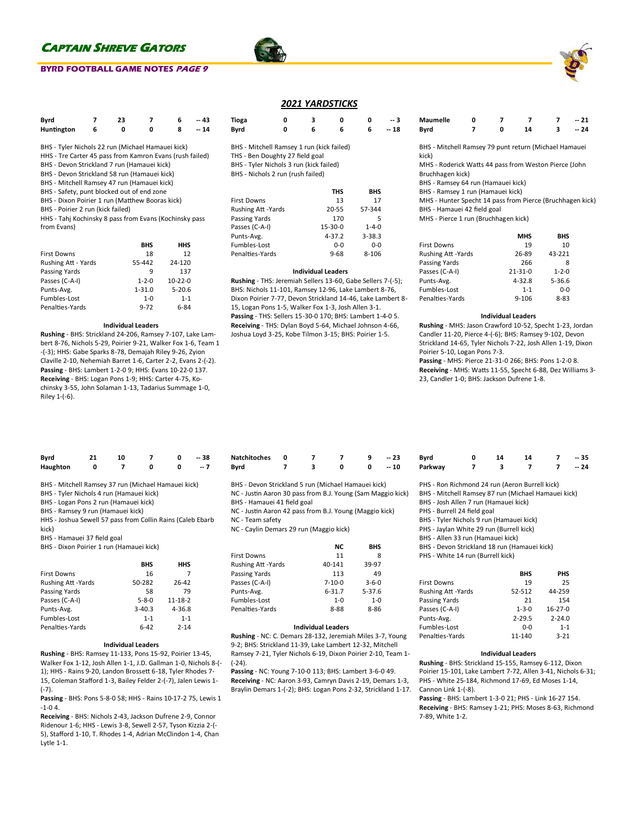### **BYRD FOOTBALL GAME NOTES PAGE 9**

| Byrd       |   | 23 |   | 6 | $-43$ |  |
|------------|---|----|---|---|-------|--|
| Huntington | 6 | o  | o | 8 | $-14$ |  |

- BHS Tyler Nichols 22 run (Michael Hamauei kick)
- HHS Tre Carter 45 pass from Kamron Evans (rush failed)
- BHS Devon Strickland 7 run (Hamauei kick)
- BHS Devon Strickland 58 run (Hamauei kick)
- BHS Mitchell Ramsey 47 run (Hamauei kick)
- BHS Safety, punt blocked out of end zone
- BHS Dixon Poirier 1 run (Matthew Booras kick)
- BHS Poirier 2 run (kick failed)

HHS - Tahj Kochinsky 8 pass from Evans (Kochinsky pass from Evans)

|                     | <b>BHS</b>  | HHS        |
|---------------------|-------------|------------|
| <b>First Downs</b>  | 18          | 12         |
| Rushing Att - Yards | 55-442      | 24-120     |
| Passing Yards       | q           | 137        |
| Passes (C-A-I)      | $1 - 2 - 0$ | $10-22-0$  |
| Punts-Avg.          | $1 - 31.0$  | $5 - 20.6$ |
| Fumbles-Lost        | $1 - 0$     | $1 - 1$    |
| Penalties-Yards     | $9 - 72$    | 6-84       |

#### **Individual Leaders**

**Rushing** - BHS: Strickland 24-206, Ramsey 7-107, Lake Lambert 8-76, Nichols 5-29, Poirier 9-21, Walker Fox 1-6, Team 1 -(-3); HHS: Gabe Sparks 8-78, Demajah Riley 9-26, Zyion Claville 2-10, Nehemiah Barret 1-6, Carter 2-2, Evans 2-(-2). **Passing** - BHS: Lambert 1-2-0 9; HHS: Evans 10-22-0 137. **Receiving** - BHS: Logan Pons 1-9; HHS: Carter 4-75, Kochinsky 3-55, John Solaman 1-13, Tadarius Summage 1-0, Riley 1-(-6).

| 2021 YARDSTICKS |  |
|-----------------|--|
|                 |  |

| Tioga                                     | 0 | з | Ω |   | -- 3  |
|-------------------------------------------|---|---|---|---|-------|
| Byrd                                      | ŋ | 6 | 6 | 6 | $-18$ |
| BHS - Mitchell Ramsey 1 run (kick failed) |   |   |   |   |       |
| THS - Ben Doughty 27 field goal           |   |   |   |   |       |
| BHS - Tyler Nichols 3 run (kick failed)   |   |   |   |   |       |

BHS - Nichols 2 run (rush failed)

|                          | <b>THS</b>    | <b>BHS</b>  |
|--------------------------|---------------|-------------|
| <b>First Downs</b>       | 13            | 17          |
| <b>Rushing Att-Yards</b> | 20-55         | 57-344      |
| Passing Yards            | 170           | 5           |
| Passes (C-A-I)           | $15 - 30 - 0$ | $1 - 4 - 0$ |
| Punts-Avg.               | $4 - 37.2$    | $3 - 38.3$  |
| Fumbles-Lost             | $0 - 0$       | $0 - 0$     |
| Penalties-Yards          | $9 - 68$      | $8 - 106$   |

#### **Individual Leaders**

**Rushing** - THS: Jeremiah Sellers 13-60, Gabe Sellers 7-(-5); BHS: Nichols 11-101, Ramsey 12-96, Lake Lambert 8-76, Dixon Poirier 7-77, Devon Strickland 14-46, Lake Lambert 8- 15, Logan Pons 1-5, Walker Fox 1-3, Josh Allen 3-1. **Passing** - THS: Sellers 15-30-0 170; BHS: Lambert 1-4-0 5. **Receiving** - THS: Dylan Boyd 5-64, Michael Johnson 4-66, Joshua Loyd 3-25, Kobe Tilmon 3-15; BHS: Poirier 1-5.

| <b>Maumelle</b> |  |    | $-21$ |
|-----------------|--|----|-------|
| Byrd            |  | 14 | $-24$ |

BHS - Mitchell Ramsey 79 punt return (Michael Hamauei kick)

MHS - Roderick Watts 44 pass from Weston Pierce (John Bruchhagen kick)

BHS - Ramsey 64 run (Hamauei kick)

BHS - Ramsey 1 run (Hamauei kick)

MHS - Hunter Specht 14 pass from Pierce (Bruchhagen kick) BHS - Hamauei 42 field goal

MHS - Pierce 1 run (Bruchhagen kick)

|                     | <b>MHS</b>    | <b>BHS</b>  |
|---------------------|---------------|-------------|
| <b>First Downs</b>  | 19            | 10          |
| Rushing Att - Yards | 26-89         | 43-221      |
| Passing Yards       | 266           | 8           |
| Passes (C-A-I)      | $21 - 31 - 0$ | $1 - 2 - 0$ |
| Punts-Avg.          | $4 - 32.8$    | $5 - 36.6$  |
| Fumbles-Lost        | $1 - 1$       | $0 - 0$     |
| Penalties-Yards     | $9 - 106$     | $8 - 83$    |

#### **Individual Leaders**

**Rushing** - MHS: Jason Crawford 10-52, Specht 1-23, Jordan Candler 11-20, Pierce 4-(-6); BHS: Ramsey 9-102, Devon Strickland 14-65, Tyler Nichols 7-22, Josh Allen 1-19, Dixon Poirier 5-10, Logan Pons 7-3.

**Passing** - MHS: Pierce 21-31-0 266; BHS: Pons 1-2-0 8. **Receiving** - MHS: Watts 11-55, Specht 6-88, Dez Williams 3- 23, Candler 1-0; BHS: Jackson Dufrene 1-8.

| Byrd     | 21 | 10 |   | $-38$ |
|----------|----|----|---|-------|
| Haughton |    |    | ŋ | -- 7  |

BHS - Mitchell Ramsey 37 run (Michael Hamauei kick)

- BHS Tyler Nichols 4 run (Hamauei kick)
- BHS Logan Pons 2 run (Hamauei kick)

BHS - Ramsey 9 run (Hamauei kick)

HHS - Joshua Sewell 57 pass from Collin Rains (Caleb Ebarb kick)

BHS - Hamauei 37 field goal

BHS - Dixon Poirier 1 run (Hamauei kick)

|                     | <b>BHS</b>  | HHS           |
|---------------------|-------------|---------------|
| <b>First Downs</b>  | 16          | 7             |
| Rushing Att - Yards | 50-282      | 26-42         |
| Passing Yards       | 58          | 79            |
| Passes (C-A-I)      | $5 - 8 - 0$ | $11 - 18 - 2$ |
| Punts-Avg.          | $3-40.3$    | $4 - 36.8$    |
| Fumbles-Lost        | $1 - 1$     | $1 - 1$       |
| Penalties-Yards     | 6-42        | $7 - 14$      |

#### **Individual Leaders**

**Rushing** - BHS: Ramsey 11-133, Pons 15-92, Poirier 13-45, Walker Fox 1-12, Josh Allen 1-1, J.D. Gallman 1-0, Nichols 8-(- 1); HHS - Rains 9-20, Landon Brossett 6-18, Tyler Rhodes 7- 15, Coleman Stafford 1-3, Bailey Felder 2-(-7), Jalen Lewis 1- (-7).

**Passing** - BHS: Pons 5-8-0 58; HHS - Rains 10-17-2 75, Lewis 1 -1-0 4.

**Receiving** - BHS: Nichols 2-43, Jackson Dufrene 2-9, Connor Ridenour 1-6; HHS - Lewis 3-8, Sewell 2-57, Tyson Kizzia 2-(- 5), Stafford 1-10, T. Rhodes 1-4, Adrian McClindon 1-4, Chan Lytle 1-1.

| Bvrd                                                                                                                                                                                                                                                                        |  |    |     | -- 10 |
|-----------------------------------------------------------------------------------------------------------------------------------------------------------------------------------------------------------------------------------------------------------------------------|--|----|-----|-------|
| BHS - Devon Strickland 5 run (Michael Hamauei kick)<br>NC - Justin Aaron 30 pass from B.J. Young (Sam Maggio kick)<br>BHS - Hamauei 41 field goal<br>NC - Justin Aaron 42 pass from B.J. Young (Maggio kick)<br>NC - Team safety<br>NC - Caylin Demars 29 run (Maggio kick) |  |    |     |       |
|                                                                                                                                                                                                                                                                             |  | NC | RHS |       |

**Natchitoches 0 7 7 9 -- 23**

| <b>First Downs</b>        | 11           | 8           |
|---------------------------|--------------|-------------|
| <b>Rushing Att -Yards</b> | 40-141       | 39-97       |
| Passing Yards             | 113          | 49          |
| Passes (C-A-I)            | $7 - 10 - 0$ | $3 - 6 - 0$ |
| Punts-Avg.                | $6 - 31.7$   | $5 - 37.6$  |
| Fumbles-Lost              | $1 - 0$      | $1 - 0$     |
| Penalties-Yards           | $8 - 88$     | $8 - 86$    |
|                           |              |             |

#### **Individual Leaders**

**Rushing** - NC: C. Demars 28-132, Jeremiah Miles 3-7, Young 9-2; BHS: Strickland 11-39, Lake Lambert 12-32, Mitchell Ramsey 7-21, Tyler Nichols 6-19, Dixon Poirier 2-10, Team 1- (-24).

**Passing** - NC: Young 7-10-0 113; BHS: Lambert 3-6-0 49. **Receiving** - NC: Aaron 3-93, Camryn Davis 2-19, Demars 1-3, Braylin Demars 1-(-2); BHS: Logan Pons 2-32, Strickland 1-17.

**Byrd 0 14 14 7 -- 35 Parkway 7 3 7 7 -- 24**

PHS - Ron Richmond 24 run (Aeron Burrell kick)

BHS - Mitchell Ramsey 87 run (Michael Hamauei kick)

BHS - Josh Allen 7 run (Hamauei kick)

PHS - Burrell 24 field goal

- BHS Tyler Nichols 9 run (Hamauei kick)
- PHS Jaylan White 29 run (Burrell kick)
- BHS Allen 33 run (Hamauei kick)

BHS - Devon Strickland 18 run (Hamauei kick)

PHS - White 14 run (Burrell kick)

|                    | <b>BHS</b>  | PHS           |
|--------------------|-------------|---------------|
| <b>First Downs</b> | 19          | 25            |
| Rushing Att -Yards | 52-512      | 44-259        |
| Passing Yards      | 21          | 154           |
| Passes (C-A-I)     | $1 - 3 - 0$ | $16 - 27 - 0$ |
| Punts-Avg.         | $2 - 29.5$  | $2 - 24.0$    |
| Fumbles-Lost       | 0-0         | $1 - 1$       |
| Penalties-Yards    | 11-140      | $3 - 21$      |

#### **Individual Leaders**

**Rushing** - BHS: Strickland 15-155, Ramsey 6-112, Dixon Poirier 15-101, Lake Lambert 7-72, Allen 3-41, Nichols 6-31; PHS - White 25-184, Richmond 17-69, Ed Moses 1-14, Cannon Link 1-(-8).

**Passing** - BHS: Lambert 1-3-0 21; PHS - Link 16-27 154. **Receiving** - BHS: Ramsey 1-21; PHS: Moses 8-63, Richmond 7-89, White 1-2.



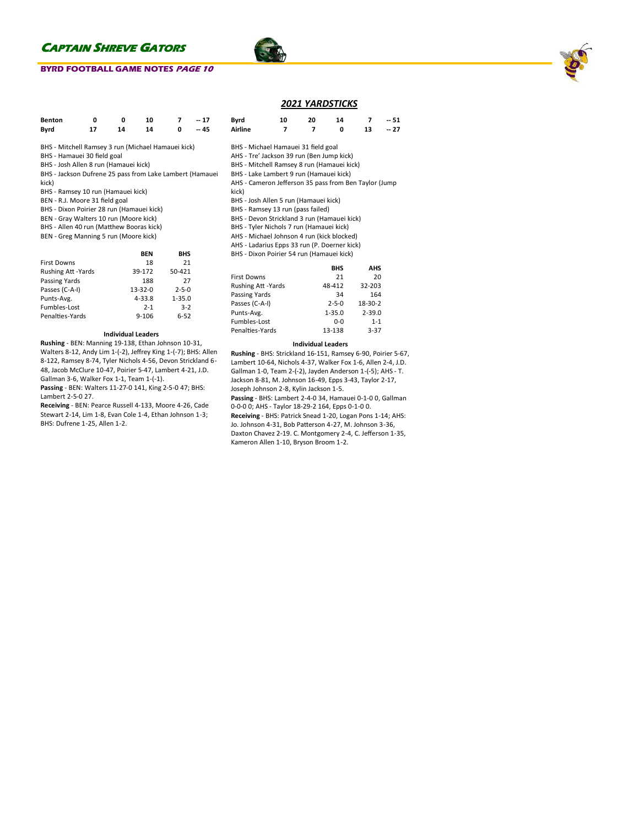### **BYRD FOOTBALL GAME NOTES PAGE 10**



## *2021 YARDSTICKS*

| Benton                                                         | 0  | 0  | 10 |   | $-17$ | Bvrd                                       | 10 | 20 | 14 |    | $-51$ |
|----------------------------------------------------------------|----|----|----|---|-------|--------------------------------------------|----|----|----|----|-------|
| Bvrd                                                           | 17 | 14 | 14 | 0 | $-45$ | Airline                                    |    |    | 0  | 13 | $-27$ |
| BHS - Mitchell Ramsey 3 run (Michael Hamauei kick)             |    |    |    |   |       | BHS - Michael Hamauei 31 field goal        |    |    |    |    |       |
| BHS - Hamauei 30 field goal                                    |    |    |    |   |       | AHS - Tre' Jackson 39 run (Ben Jump kick)  |    |    |    |    |       |
| BHS - Josh Allen 8 run (Hamauei kick)                          |    |    |    |   |       | BHS - Mitchell Ramsey 8 run (Hamauei kick) |    |    |    |    |       |
| BHS - Jackson Dufrene 25 pass from Lake Lambert (Hamauei       |    |    |    |   |       | BHS - Lake Lambert 9 run (Hamauei kick)    |    |    |    |    |       |
| kick)<br>AHS - Cameron Jefferson 35 pass from Ben Taylor (Jump |    |    |    |   |       |                                            |    |    |    |    |       |
| BHS - Ramsey 10 run (Hamauei kick)                             |    |    |    |   |       | kick)                                      |    |    |    |    |       |

- BEN R.J. Moore 31 field goal
- BHS Dixon Poirier 28 run (Hamauei kick)
- BEN Gray Walters 10 run (Moore kick)
- BHS Allen 40 run (Matthew Booras kick)
- BEN Greg Manning 5 run (Moore kick)

|                     | <b>RFN</b>    | <b>BHS</b>  |
|---------------------|---------------|-------------|
| <b>First Downs</b>  | 18            | 21          |
| Rushing Att - Yards | 39-172        | 50-421      |
| Passing Yards       | 188           | 27          |
| Passes (C-A-I)      | $13 - 32 - 0$ | $2 - 5 - 0$ |
| Punts-Avg.          | $4 - 33.8$    | $1 - 35.0$  |
| Fumbles-Lost        | $2 - 1$       | $3-2$       |
| Penalties-Yards     | $9 - 106$     | $6 - 52$    |

#### **Individual Leaders**

**Rushing** - BEN: Manning 19-138, Ethan Johnson 10-31, Walters 8-12, Andy Lim 1-(-2), Jeffrey King 1-(-7); BHS: Allen 8-122, Ramsey 8-74, Tyler Nichols 4-56, Devon Strickland 6- 48, Jacob McClure 10-47, Poirier 5-47, Lambert 4-21, J.D. Gallman 3-6, Walker Fox 1-1, Team 1-(-1).

**Passing** - BEN: Walters 11-27-0 141, King 2-5-0 47; BHS: Lambert 2-5-0 27.

**Receiving** - BEN: Pearce Russell 4-133, Moore 4-26, Cade Stewart 2-14, Lim 1-8, Evan Cole 1-4, Ethan Johnson 1-3; BHS: Dufrene 1-25, Allen 1-2.

| BHS - Michael Hamauei 31 field goal |  |
|-------------------------------------|--|

- re' Jackson 39 run (Ben Jump kick)
- Aitchell Ramsey 8 run (Hamauei kick)
- ake Lambert 9 run (Hamauei kick)
- ameron Jefferson 35 pass from Ben Taylor (Jump
- 
- BHS Josh Allen 5 run (Hamauei kick)
- BHS Ramsey 13 run (pass failed)
- BHS Devon Strickland 3 run (Hamauei kick)
- BHS Tyler Nichols 7 run (Hamauei kick)
- AHS Michael Johnson 4 run (kick blocked)
- AHS Ladarius Epps 33 run (P. Doerner kick)
- BHS Dixon Poirier 54 run (Hamauei kick)

|                           | <b>BHS</b>  | AHS        |
|---------------------------|-------------|------------|
| <b>First Downs</b>        | 21          | 20         |
| <b>Rushing Att -Yards</b> | 48-412      | 32-203     |
| Passing Yards             | 34          | 164        |
| Passes (C-A-I)            | $2 - 5 - 0$ | 18-30-2    |
| Punts-Avg.                | $1 - 35.0$  | $2 - 39.0$ |
| Fumbles-Lost              | $0-0$       | $1 - 1$    |
| Penalties-Yards           | 13-138      | $3 - 37$   |

#### **Individual Leaders**

**Rushing** - BHS: Strickland 16-151, Ramsey 6-90, Poirier 5-67, Lambert 10-64, Nichols 4-37, Walker Fox 1-6, Allen 2-4, J.D. Gallman 1-0, Team 2-(-2), Jayden Anderson 1-(-5); AHS - T. Jackson 8-81, M. Johnson 16-49, Epps 3-43, Taylor 2-17, Joseph Johnson 2-8, Kylin Jackson 1-5.

**Passing** - BHS: Lambert 2-4-0 34, Hamauei 0-1-0 0, Gallman 0-0-0 0; AHS - Taylor 18-29-2 164, Epps 0-1-0 0. **Receiving** - BHS: Patrick Snead 1-20, Logan Pons 1-14; AHS: Jo. Johnson 4-31, Bob Patterson 4-27, M. Johnson 3-36, Daxton Chavez 2-19. C. Montgomery 2-4, C. Jefferson 1-35, Kameron Allen 1-10, Bryson Broom 1-2.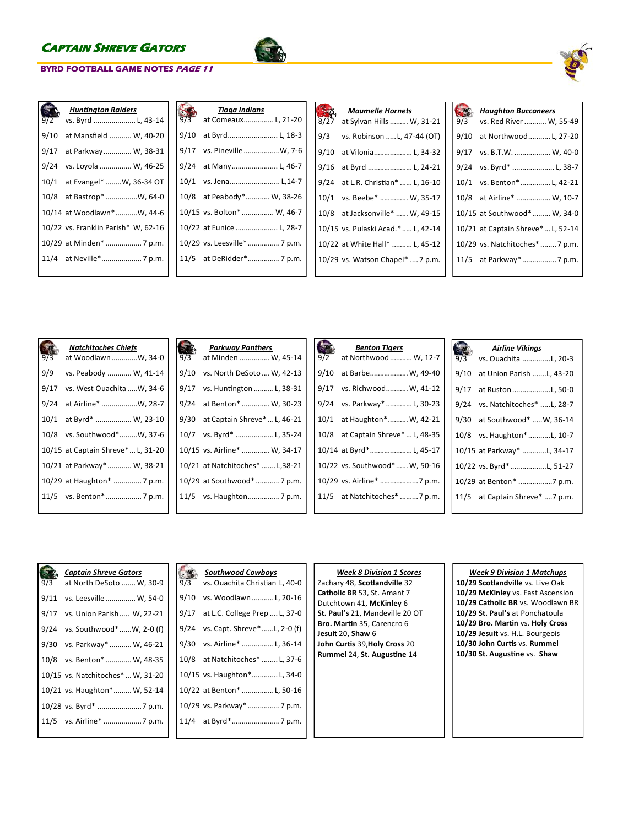**BYRD FOOTBALL GAME NOTES PAGE 11**

| 9/2  | <b>Huntington Raiders</b><br>vs. Byrd  L, 43-14 |
|------|-------------------------------------------------|
| 9/10 | at Mansfield  W, 40-20                          |
| 9/17 | at Parkway W, 38-31                             |
| 9/24 | vs. Loyola  W, 46-25                            |
| 10/1 | at Evangel*  W, 36-34 OT                        |
| 10/8 | at Bastrop* W, 64-0                             |
|      | 10/14 at Woodlawn*W, 44-6                       |
|      | 10/22 vs. Franklin Parish* W, 62-16             |
|      | 10/29 at Minden*  7 p.m.                        |
|      |                                                 |
|      |                                                 |

| 9/3  | Tioga Indians<br>at Comeaux L, 21-20 |
|------|--------------------------------------|
| 9/10 | at Byrd L, 18-3                      |
| 9/17 | vs. Pineville W, 7-6                 |
| 9/24 | at Many L, 46-7                      |
|      | 10/1 vs. Jena L,14-7                 |
|      | 10/8 at Peabody* W, 38-26            |
|      | 10/15 vs. Bolton*  W, 46-7           |
|      | 10/22 at Eunice  L, 28-7             |
|      | 10/29 vs. Leesville*  7 p.m.         |
|      | 11/5 at DeRidder* 7 p.m.             |
|      |                                      |

| 8/27 | <b>Maumelle Hornets</b><br>at Sylvan Hills  W, 31-21 |
|------|------------------------------------------------------|
| 9/3  | vs. Robinson  L, 47-44 (OT)                          |
| 9/10 | at Vilonia L, 34-32                                  |
| 9/16 | at Byrd  L, 24-21                                    |
| 9/24 | at L.R. Christian*  L, 16-10                         |
|      | 10/1 vs. Beebe*  W, 35-17                            |
| 10/8 | at Jacksonville*  W, 49-15                           |
|      | 10/15 vs. Pulaski Acad.*  L, 42-14                   |
|      | 10/22 at White Hall*  L, 45-12                       |
|      | 10/29 vs. Watson Chapel*  7 p.m.                     |
|      |                                                      |

| 9/3  | <b>Haughton Buccaneers</b><br>vs. Red River  W, 55-49 |
|------|-------------------------------------------------------|
| 9/10 | at Northwood L, 27-20                                 |
| 9/17 | vs. B.T.W.  W, 40-0                                   |
| 9/24 | vs. Byrd*  L, 38-7                                    |
| 10/1 | vs. Benton*L, 42-21                                   |
| 10/8 | at Airline*  W, 10-7                                  |
|      | 10/15 at Southwood* W, 34-0                           |
|      | 10/21 at Captain Shreve* L, 52-14                     |
|      | 10/29 vs. Natchitoches*  7 p.m.                       |
|      | 11/5 at Parkway*  7 p.m.                              |
|      |                                                       |

|      | <b>Natchitoches Chiefs</b>        |      | <b>Parkway Panthers</b>         |
|------|-----------------------------------|------|---------------------------------|
| 9/3  | at WoodlawnW, 34-0                | 9/3  | at Minden  W, 45-14             |
| 9/9  | vs. Peabody  W, 41-14             | 9/10 | vs. North DeSoto  W, 42-13      |
| 9/17 | vs. West Ouachita W, 34-6         | 9/17 | vs. Huntington  L, 38-31        |
| 9/24 | at Airline* W, 28-7               |      | 9/24 at Benton*  W, 30-23       |
|      | 10/1 at Byrd*  W, 23-10           | 9/30 | at Captain Shreve*  L, 46-21    |
|      | 10/8 vs. Southwood*W, 37-6        |      | 10/7 vs. Byrd* L, 35-24         |
|      | 10/15 at Captain Shreve* L, 31-20 |      | 10/15 vs. Airline*  W, 34-17    |
|      | 10/21 at Parkway*  W, 38-21       |      | 10/21 at Natchitoches*  L,38-21 |
|      | 10/29 at Haughton*  7 p.m.        |      | 10/29 at Southwood* 7 p.m.      |
|      |                                   |      |                                 |
|      |                                   |      |                                 |

| 9/2  | <b>Benton Tigers</b><br>at Northwood  W, 12-7 |
|------|-----------------------------------------------|
| 9/10 | at Barbe W, 49-40                             |
| 9/17 | vs. Richwood W, 41-12                         |
|      | 9/24 vs. Parkway* L, 30-23                    |
|      | 10/1 at Haughton* W, 42-21                    |
| 10/8 | at Captain Shreve*  L, 48-35                  |
|      | 10/14 at Byrd*L, 45-17                        |
|      | 10/22 vs. Southwood* W, 50-16                 |
|      | 10/29 vs. Airline*  7 p.m.                    |
|      | 11/5 at Natchitoches* 7 p.m.                  |

| 9/3  | <b>Airline Vikings</b><br>vs. Ouachita L, 20-3 |
|------|------------------------------------------------|
| 9/10 | at Union Parish L, 43-20                       |
| 9/17 | at Ruston L, 50-0                              |
| 9/24 | vs. Natchitoches* L, 28-7                      |
| 9/30 | at Southwood*  W, 36-14                        |
| 10/8 | vs. Haughton* L, 10-7                          |
|      | 10/15 at Parkway* L, 34-17                     |
|      | 10/22 vs. Byrd*L, 51-27                        |
|      | 10/29 at Benton* 7 p.m.                        |
|      | 11/5 at Captain Shreve* 7 p.m.                 |
|      |                                                |

| 9/3  | <b>Captain Shreve Gators</b><br>at North DeSoto  W, 30-9 |
|------|----------------------------------------------------------|
| 9/11 | vs. Leesville  W, 54-0                                   |
| 9/17 | vs. Union Parish W, 22-21                                |
| 9/24 | vs. Southwood* W, 2-0 (f)                                |
| 9/30 | vs. Parkway*  W, 46-21                                   |
| 10/8 | vs. Benton*  W, 48-35                                    |
|      | 10/15 vs. Natchitoches*  W, 31-20                        |
|      | 10/21 vs. Haughton* W, 52-14                             |
|      |                                                          |
|      |                                                          |
|      |                                                          |

|      | <b>Southwood Cowboys</b><br>9/3 vs. Ouachita Christian L, 40-0 |
|------|----------------------------------------------------------------|
| 9/10 | vs. Woodlawn  L, 20-16                                         |
| 9/17 | at L.C. College Prep  L, 37-0                                  |
| 9/24 | vs. Capt. Shreve* L, 2-0 (f)                                   |
| 9/30 | vs. Airline* L, 36-14                                          |
|      | 10/8 at Natchitoches*  L, 37-6                                 |
|      | 10/15 vs. Haughton* L, 34-0                                    |
|      | 10/22 at Benton*  L, 50-16                                     |
|      | 10/29 vs. Parkway*  7 p.m.                                     |
|      |                                                                |
|      |                                                                |

## *Week 8 Division 1 Scores*

Zachary 48, **Scotlandville** 32 **Catholic BR** 53, St. Amant 7 Dutchtown 41, **McKinley** 6 **St. Paul's** 21, Mandeville 20 OT **Bro. Martin** 35, Carencro 6 **Jesuit** 20, **Shaw** 6 **John Curtis** 39,**Holy Cross** 20 **Rummel** 24, **St. Augustine** 14

## *Week 9 Division 1 Matchups*

**10/29 Scotlandville** vs. Live Oak **10/29 McKinley** vs. East Ascension **10/29 Catholic BR** vs. Woodlawn BR **10/29 St. Paul's** at Ponchatoula **10/29 Bro. Martin** vs. **Holy Cross 10/29 Jesuit** vs. H.L. Bourgeois **10/30 John Curtis** vs. **Rummel 10/30 St. Augustine** vs. **Shaw**

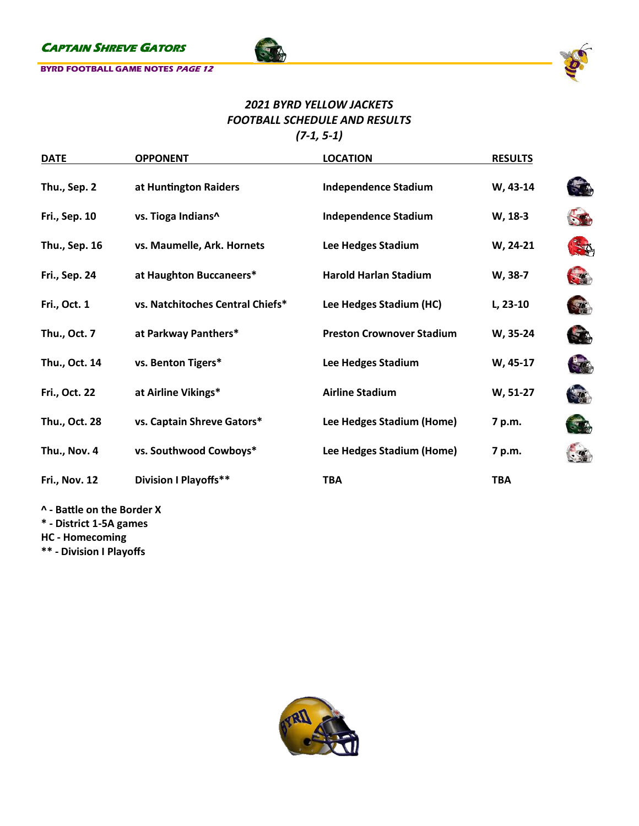

# *2021 BYRD YELLOW JACKETS FOOTBALL SCHEDULE AND RESULTS (7-1, 5-1)*

**FOR** 

| <b>DATE</b>          | <b>OPPONENT</b>                  | <b>LOCATION</b>                  | <b>RESULTS</b> |               |
|----------------------|----------------------------------|----------------------------------|----------------|---------------|
| Thu., Sep. 2         | at Huntington Raiders            | <b>Independence Stadium</b>      | W, 43-14       |               |
| <b>Fri., Sep. 10</b> | vs. Tioga Indians^               | <b>Independence Stadium</b>      | W, 18-3        |               |
| Thu., Sep. 16        | vs. Maumelle, Ark. Hornets       | Lee Hedges Stadium               | W, 24-21       | - A           |
| <b>Fri., Sep. 24</b> | at Haughton Buccaneers*          | <b>Harold Harlan Stadium</b>     | W, 38-7        | <b>STATE</b>  |
| Fri., Oct. 1         | vs. Natchitoches Central Chiefs* | Lee Hedges Stadium (HC)          | L, 23-10       | $\frac{1}{2}$ |
| Thu., Oct. 7         | at Parkway Panthers*             | <b>Preston Crownover Stadium</b> | W, 35-24       | $\rightarrow$ |
| Thu., Oct. 14        | vs. Benton Tigers*               | Lee Hedges Stadium               | W, 45-17       | $-10$         |
| Fri., Oct. 22        | at Airline Vikings*              | <b>Airline Stadium</b>           | W, 51-27       | $\mathcal{L}$ |
| Thu., Oct. 28        | vs. Captain Shreve Gators*       | Lee Hedges Stadium (Home)        | 7 p.m.         | $\mathcal{F}$ |
| Thu., Nov. 4         | vs. Southwood Cowboys*           | Lee Hedges Stadium (Home)        | 7 p.m.         |               |
| <b>Fri., Nov. 12</b> | <b>Division I Playoffs**</b>     | <b>TBA</b>                       | <b>TBA</b>     |               |
|                      |                                  |                                  |                |               |

**^ - Battle on the Border X**

**\* - District 1-5A games**

**HC - Homecoming**

**\*\* - Division I Playoffs**

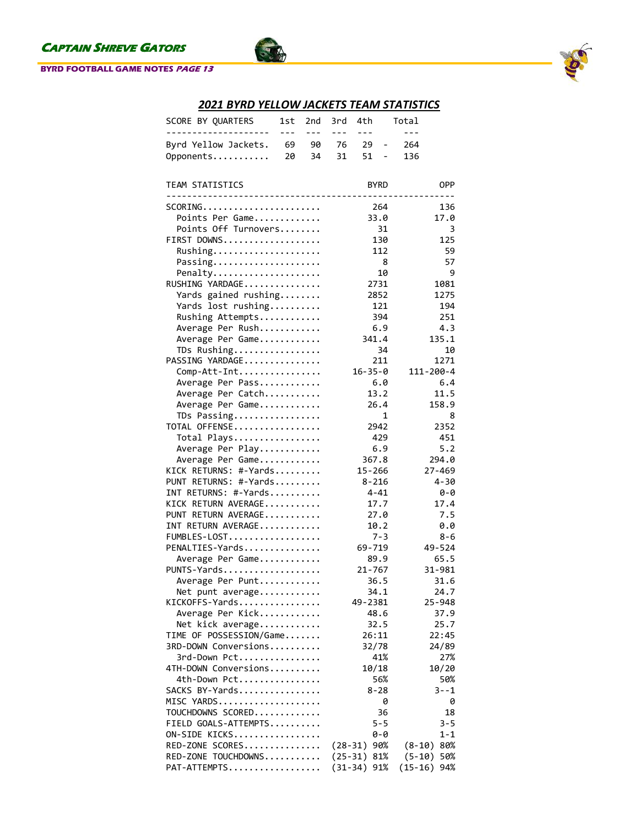### **BYRD FOOTBALL GAME NOTES PAGE 13**



# *2021 BYRD YELLOW JACKETS TEAM STATISTICS*

T

| SCORE BY QUARTERS                          | 1st     | 2nd     | 3rd       | 4th           |                              | Total     |             |
|--------------------------------------------|---------|---------|-----------|---------------|------------------------------|-----------|-------------|
| ------                                     | $- - -$ | $- - -$ | $- - -$   | $- - -$       |                              | $- - -$   |             |
| Byrd Yellow Jackets.                       | 69      | 90      | 76        | 29            | $\qquad \qquad \blacksquare$ | 264       |             |
| Opponents                                  | 20      | 34      | 31        | 51            | $\qquad \qquad \blacksquare$ | 136       |             |
| TEAM STATISTICS                            |         |         |           |               | <b>BYRD</b>                  |           | <b>OPP</b>  |
|                                            |         |         |           |               |                              |           |             |
| SCORING                                    |         |         |           |               | 264                          |           | 136         |
| Points Per Game                            |         |         |           |               | 33.0                         |           | 17.0        |
| Points Off Turnovers                       |         |         |           |               | 31                           |           | 3           |
| FIRST DOWNS                                |         |         |           |               | 130                          |           | 125         |
| Rushing                                    |         |         |           |               | 112                          |           | 59          |
| Passing                                    |         |         |           |               | 8                            |           | 57          |
| Penalty                                    |         |         |           |               | 10                           |           | 9           |
| RUSHING YARDAGE                            |         |         |           |               | 2731                         |           | 1081        |
| Yards gained rushing                       |         |         |           |               | 2852                         |           | 1275        |
| Yards lost rushing                         |         |         |           |               | 121                          |           | 194         |
| Rushing Attempts                           |         |         |           |               | 394                          |           | 251         |
| Average Per Rush                           |         |         |           |               | 6.9                          |           | 4.3         |
| Average Per Game                           |         |         |           | 341.4         |                              |           | 135.1       |
| TDs Rushing                                |         |         |           |               | 34                           |           | 10          |
| PASSING YARDAGE                            |         |         |           |               | 211                          |           | 1271        |
| Comp-Att-Int                               |         |         |           | $16 - 35 - 0$ |                              | 111-200-4 |             |
| Average Per Pass                           |         |         |           |               | 6.0                          |           | 6.4         |
| Average Per Catch                          |         |         |           |               | 13.2                         |           | 11.5        |
| Average Per Game                           |         |         |           |               | 26.4                         |           | 158.9       |
| TDs Passing                                |         |         |           |               | 1                            |           | 8           |
| TOTAL OFFENSE                              |         |         |           |               | 2942                         |           | 2352        |
| Total Plays                                |         |         |           |               | 429                          |           | 451         |
| Average Per Play                           |         |         |           |               | 6.9                          |           | 5.2         |
| Average Per Game                           |         |         |           | 367.8         |                              |           | 294.0       |
| KICK RETURNS: #-Yards                      |         |         |           | $15 - 266$    |                              |           | $27 - 469$  |
| PUNT RETURNS: #-Yards                      |         |         |           | $8 - 216$     |                              |           | $4 - 30$    |
| INT RETURNS: #-Yards                       |         |         |           |               | $4 - 41$                     |           | 0-0         |
| KICK RETURN AVERAGE<br>PUNT RETURN AVERAGE |         |         |           |               | 17.7                         |           | 17.4<br>7.5 |
| INT RETURN AVERAGE                         |         |         |           |               | 27.0                         |           |             |
| FUMBLES-LOST                               |         |         |           |               | 10.2<br>$7 - 3$              |           | 0.0<br>8-6  |
| PENALTIES-Yards                            |         |         |           | 69-719        |                              |           | 49-524      |
| Average Per Game                           |         |         |           |               | 89.9                         |           | 65.5        |
| PUNTS-Yards                                |         |         |           | $21 - 767$    |                              |           | 31-981      |
| Average Per Punt                           |         |         |           |               | 36.5                         |           | 31.6        |
| Net punt average                           |         |         |           |               | 34.1                         |           | 24.7        |
| KICKOFFS-Yards                             |         |         |           | 49-2381       |                              |           | 25-948      |
| Average Per Kick                           |         |         |           |               | 48.6                         |           | 37.9        |
| Net kick average                           |         |         |           |               | 32.5                         |           | 25.7        |
| TIME OF POSSESSION/Game                    |         |         |           | 26:11         |                              |           | 22:45       |
| 3RD-DOWN Conversions                       |         |         |           | 32/78         |                              |           | 24/89       |
| 3rd-Down Pct                               |         |         |           |               | 41%                          |           | 27%         |
| 4TH-DOWN Conversions                       |         |         |           | 10/18         |                              |           | 10/20       |
| 4th-Down Pct                               |         |         |           |               | 56%                          |           | 50%         |
| SACKS BY-Yards                             |         |         |           |               | 8-28                         |           | $3 - -1$    |
| MISC YARDS                                 |         |         |           |               | 0                            |           | 0           |
| TOUCHDOWNS SCORED                          |         |         |           |               | 36                           |           | 18          |
| FIELD GOALS-ATTEMPTS                       |         |         |           |               | $5 - 5$                      |           | $3 - 5$     |
| ON-SIDE KICKS                              |         |         |           |               | 0-0                          |           | 1-1         |
| RED-ZONE SCORES                            |         |         | $(28-31)$ |               | 90%                          | $(8-10)$  | 80%         |
| RED-ZONE TOUCHDOWNS                        |         |         | $(25-31)$ |               | 81%                          | $(5-10)$  | 50%         |
| PAT-ATTEMPTS                               |         |         | $(31-34)$ |               | 91%                          | $(15-16)$ | 94%         |
|                                            |         |         |           |               |                              |           |             |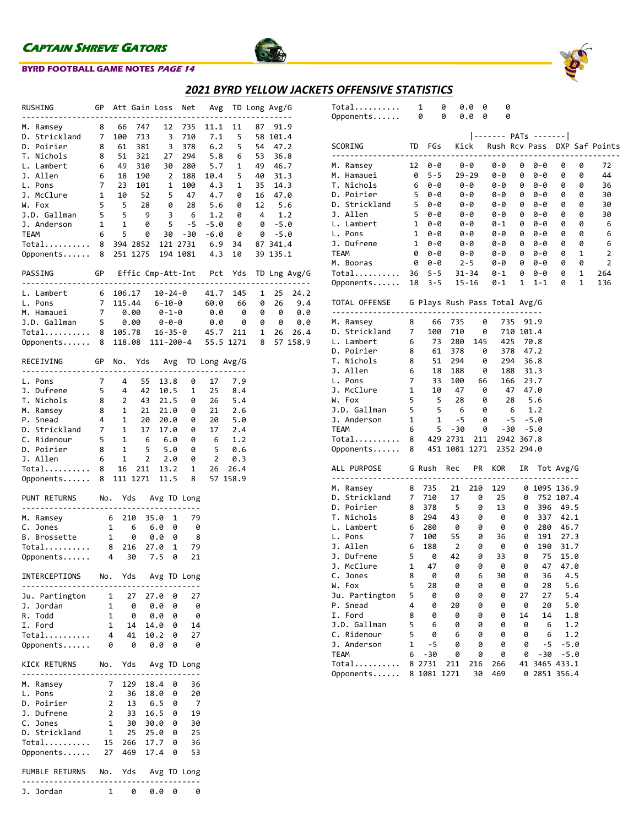

## **BYRD FOOTBALL GAME NOTES PAGE 14**



## *2021 BYRD YELLOW JACKETS OFFENSIVE STATISTICS*

| RUSHING                                           |                 |                | GP Att Gain Loss |         |                         | Net                 |                          |           | Avg TD Long Avg/G |          |              |
|---------------------------------------------------|-----------------|----------------|------------------|---------|-------------------------|---------------------|--------------------------|-----------|-------------------|----------|--------------|
| M. Ramsey                                         | 8               | 66             | 747              |         | 12                      | 735                 | 11.1                     | 11        | 87                | 91.9     |              |
| D. Strickland                                     | 7               | 100            | 713              |         | $\overline{\mathbf{3}}$ | 710                 | 7.1                      | 5         |                   | 58 101.4 |              |
| D. Poirier                                        | 8               | 61             | 381              |         | $\overline{\mathbf{3}}$ | 378                 | 6.2                      | 5         | 54                | 47.2     |              |
| T. Nichols                                        | 8               | 51             | 321              |         | 27                      | 294                 | 5.8                      | 6         | 53                | 36.8     |              |
| L. Lambert                                        | 6               | 49             | 310              |         | 30                      | 280                 | 5.7                      | 1         | 49                | 46.7     |              |
| J. Allen                                          | 6               | 18             | 190              |         | 2                       | 188                 | 10.4                     | 5         | 40                | 31.3     |              |
| L. Pons                                           | 7               | 23             | 101              |         | 1                       | 100                 | 4.3                      | 1         | 35                | 14.3     |              |
| J. McClure                                        | $\mathbf{1}$    | 10             | 52               |         | 5                       | 47                  | 4.7                      | 0         | 16                | 47.0     |              |
| W. Fox                                            | 5               | $-5$           | 28               |         |                         | $0$ 28              | 5.6                      | 0         | 12                | 5.6      |              |
| J.D. Gallman                                      | 5               | 5              | 9                |         | 3                       | - 6                 | 1.2                      | 0         | $\overline{4}$    | 1.2      |              |
| J. Anderson                                       | $\mathbf{1}$    | $\mathbf{1}$   | 0                |         | 5                       | $-5$                | -5.0                     | 0         | 0                 | $-5.0$   |              |
| <b>TEAM</b>                                       | 6               | 5              | 0                |         | 30                      | -30                 | -6.0                     | - 0       |                   | 0 -5.0   |              |
| Total                                             | 8               |                | 394 2852         |         |                         | 121 2731            | 6.9                      | 34        |                   | 87 341.4 |              |
| Opponents 8                                       |                 |                | 251 1275         |         |                         | 194 1081            | 4.3                      | 10        |                   | 39 135.1 |              |
| PASSING                                           |                 |                |                  |         |                         |                     | GP Effic Cmp-Att-Int Pct | Yds       |                   |          | TD Lng Avg/G |
|                                                   |                 |                |                  |         |                         |                     |                          |           |                   |          |              |
| L. Lambert                                        | $6\overline{6}$ | 106.17         |                  | 10-24-0 |                         |                     | 41.7                     | 145       | 1                 | 25       | 24.2         |
| L. Pons                                           | $7\overline{ }$ | 115.44         |                  | 6-10-0  |                         |                     | 60.0                     | 66        | 0                 | 26       | 9.4          |
| M. Hamauei                                        | 7 0.00          |                |                  | 0-1-0   |                         |                     | 0.0                      |           | 0<br>0            | 0        | 0.0          |
| J.D. Gallman 5 0.00                               |                 |                |                  | 0-0-0   |                         |                     | 0.0                      |           | 0                 | 0 0      | 0.0          |
| Total                                             | 8               |                | 105.78           |         |                         | 16-35-0             | 45.7                     | 211       | 1                 | 26       | 26.4         |
| Opponents 8                                       |                 |                | 118.08           |         |                         | 111-200-4           |                          | 55.5 1271 | 8                 |          | 57 158.9     |
| <b>GP</b><br>RECEIVING<br>----------------------- |                 |                | No. Yds Avg      |         |                         |                     | TD Long Avg/G            |           |                   |          |              |
| L. Pons                                           | 7               | 4              | 55               |         | 13.8                    | 0                   | 17                       | 7.9       |                   |          |              |
| J. Dufrene                                        | 5 <sub>1</sub>  | 4              | 42               |         | 10.5                    | 1                   | 25                       | 8.4       |                   |          |              |
| T. Nichols                                        | 8               | $\mathbf{2}$   | 43               |         | 21.5                    | 0                   | 26                       | 5.4       |                   |          |              |
| M. Ramsey                                         | 8               | $\mathbf{1}$   | 21               |         | 21.0                    | 0                   | 21                       | 2.6       |                   |          |              |
| P. Snead                                          | 4               | $\mathbf{1}$   | 20               |         | 20.0                    | 0                   | 20                       | 5.0       |                   |          |              |
| D. Strickland 7                                   |                 |                | $1\quad 17$      |         | 17.0                    | 0                   | 17                       | 2.4       |                   |          |              |
| C. Ridenour                                       | 5 <sub>1</sub>  | 1              | 6                |         | 6.0                     | 0                   | 6                        | 1.2       |                   |          |              |
| D. Poirier                                        | 8               | $\mathbf{1}$   | 5                |         | 5.0                     | 0                   | 5                        | 0.6       |                   |          |              |
| J. Allen                                          | 6               | $\mathbf{1}$   | $\overline{2}$   |         | 2.0                     | 0                   | $\overline{2}$           | 0.3       |                   |          |              |
| Total                                             | 8               | 16             | 211              |         | 13.2                    | 1                   | 26                       | 26.4      |                   |          |              |
| Opponents                                         | 8               |                | 111 1271         |         | 11.5                    | 8                   |                          | 57 158.9  |                   |          |              |
|                                                   |                 |                |                  |         |                         |                     |                          |           |                   |          |              |
| PUNT RETURNS No.                                  |                 |                |                  |         |                         | Yds Avg TD Long     |                          |           |                   |          |              |
| M. Ramsey                                         | $\overline{6}$  |                | 210              | 35.0    | 1                       | 79                  |                          |           |                   |          |              |
| C. Jones                                          |                 | $\mathbf{1}$   | 6                | 6.0     | 0                       | 0                   |                          |           |                   |          |              |
| B. Brossette                                      |                 | $\mathbf{1}$   | 0                | 0.0     | 0                       | - 8                 |                          |           |                   |          |              |
| Total                                             |                 | 8 216          |                  | 27.0    | 1                       | 79                  |                          |           |                   |          |              |
| Opponents                                         |                 | 4 30           |                  | 7.5     | 0                       | 21                  |                          |           |                   |          |              |
|                                                   |                 |                |                  |         |                         |                     |                          |           |                   |          |              |
| INTERCEPTIONS                                     |                 |                |                  |         |                         | No. Yds Avg TD Long |                          |           |                   |          |              |
| Ju. Partington                                    | $\mathbf{1}$    |                | 27               | 27.0    | 0                       | 27                  |                          |           |                   |          |              |
| J. Jordan                                         | 1               |                | - 0              | 0.0     | 0                       | 0                   |                          |           |                   |          |              |
| R. Todd                                           | $\mathbf{1}$    |                | 0                | 0.0     | 0                       | 0                   |                          |           |                   |          |              |
| I. Ford                                           | $\mathbf{1}$    |                | 14               | 14.0    | 0                       | 14                  |                          |           |                   |          |              |
| Total                                             |                 | $\overline{4}$ | 41               | 10.2    | 0                       | 27                  |                          |           |                   |          |              |
| Opponents                                         | 0               |                | - 0              | 0.0     | 0                       | 0                   |                          |           |                   |          |              |
| KICK RETURNS No. Yds Avg TD Long                  |                 |                |                  |         |                         |                     |                          |           |                   |          |              |
| M. Ramsey                                         |                 | 7 <sup>7</sup> | 129              | 18.4 0  |                         | 36                  |                          |           |                   |          |              |
| L. Pons                                           | 2               |                | - 36             | 18.0    | 0                       | 20                  |                          |           |                   |          |              |
| D. Poirier                                        |                 | $\overline{2}$ | 13               | 6.5     | 0                       | 7                   |                          |           |                   |          |              |
| J. Dufrene                                        | $\overline{2}$  | $\frac{1}{33}$ |                  | 16.5    | 0                       | 19                  |                          |           |                   |          |              |
| C. Jones                                          | $\mathbf{1}$    |                | 30               | 30.0    | 0                       | 30                  |                          |           |                   |          |              |
| D. Strickland                                     | $\mathbf{1}$    |                | 25               | 25.0    | 0                       | 25                  |                          |           |                   |          |              |
| Total                                             |                 | 15             | 266              | 17.7    | 0                       | 36                  |                          |           |                   |          |              |
| Opponents                                         | 27              |                | 469              | 17.4 0  |                         | 53                  |                          |           |                   |          |              |
|                                                   |                 |                |                  |         |                         |                     |                          |           |                   |          |              |
| FUMBLE RETURNS                                    | No.             |                |                  |         |                         | Yds Avg TD Long     |                          |           |                   |          |              |
| J. Jordan                                         | 1               |                | 0                | 0.0     | 0                       | 0                   |                          |           |                   |          |              |

| Total<br>Opponents                                                      |                                | 1<br>0                                  | 0<br>0                  | 0.0<br>0<br>0.0<br>0     | 0<br>0         |    |              |                      |              |            |                                   |
|-------------------------------------------------------------------------|--------------------------------|-----------------------------------------|-------------------------|--------------------------|----------------|----|--------------|----------------------|--------------|------------|-----------------------------------|
| SCORING                                                                 | TD                             | FGs                                     |                         |                          |                |    |              | ------- PATs ------- |              |            | Kick Rush Rcv Pass DXP Saf Points |
| M. Ramsey                                                               |                                | 12  0  - 0  0  - 0                      |                         |                          | 0-0            |    | 0            | 0-0                  | 0            | 0          | 72                                |
| M. Hamauei                                                              |                                | 0 5-5 29-29                             |                         |                          | 0-0            |    | 0            | 0-0                  | 0            | 0          | 44                                |
| T. Nichols                                                              | 6                              | 0-0                                     |                         | 0-0                      | 0-0            |    | 0            | 0-0                  | 0            | 0          | 36                                |
| D. Poirier<br>D. Strickland                                             | 5<br>5                         | 0-0<br>0-0                              |                         | 0-0                      | 0-0<br>0-0     |    | 0<br>0       | 0-0<br>0-0           | 0<br>0       | 0<br>0     | 30<br>30                          |
| J. Allen                                                                | 5                              | 0-0                                     |                         | 0-0<br>0-0               | 0-0            |    | 0            | 0-0                  | 0            | 0          | 30                                |
| L. Lambert                                                              | $\mathbf{1}$                   | 0-0                                     |                         | 0-0                      | 0-1            |    | 0            | 0-0                  | 0            | 0          | -6                                |
| L. Pons                                                                 | $\mathbf{1}$                   | 0-0                                     |                         | 0-0                      | 0-0            |    | 0            | 0-0                  | 0            | 0          | 6                                 |
| J. Dufrene                                                              | $\mathbf{1}$                   | 0-0                                     |                         | 0-0                      | 0-0            |    | 0            | 0-0                  | 0            | 0          | 6                                 |
| TEAM                                                                    | 0                              | 0-0                                     |                         | 0-0                      | 0-0            |    | 0            | 0-0                  | 0            | 1          | 2                                 |
| M. Booras                                                               | 0                              | 0-0                                     |                         | $2 - 5$                  | 0-0            |    | 0            | 0-0                  | 0            | 0          | $\overline{2}$                    |
| Total                                                                   |                                | 36 5-5 31-34                            |                         |                          | $0 - 1$        |    | 0            | 0-0                  | 0            | 1          | 264                               |
| Opponents                                                               |                                | 18  3  - 5  15  - 16                    |                         |                          | 0-1            |    | $\mathbf{1}$ | $1 - 1$              | 0            | 1          | 136                               |
| TOTAL OFFENSE G Plays Rush Pass Total Avg/G                             |                                |                                         |                         |                          |                |    |              |                      |              |            |                                   |
| M. Ramsey                                                               | 8                              | 66                                      | 735                     | 0                        | 735            |    |              | 91.9                 |              |            |                                   |
| D. Strickland                                                           | 7                              | 100                                     | 710                     | 0                        |                |    |              | 710 101.4            |              |            |                                   |
| L. Lambert                                                              | 6                              | 73                                      | 280                     | 145                      |                |    |              | 425 70.8             |              |            |                                   |
| D. Poirier                                                              | 8                              | 61                                      | 378                     | 0                        |                |    |              | 378 47.2             |              |            |                                   |
| T. Nichols                                                              | 8                              | 51                                      | 294                     | 0                        |                |    |              | 294 36.8             |              |            |                                   |
| J. Allen                                                                | 6                              | $\begin{array}{c} 18 \\ 33 \end{array}$ | 188                     | 0<br>188 0<br>100 66     |                |    |              | 188 31.3             |              |            |                                   |
| L. Pons<br>J. McClure                                                   | $\overline{7}$<br>$\mathbf{1}$ |                                         |                         |                          | 166 23.7<br>47 |    |              | 47.0                 |              |            |                                   |
| W. Fox                                                                  | 5                              | 10<br>$\overline{\phantom{0}}$          | 28                      | 47 0<br>$\theta$         |                | 28 |              | 5.6                  |              |            |                                   |
| $\overline{\phantom{0}}$ 5<br>J.D. Gallman                              |                                | $\overline{\phantom{0}}$                | $6\overline{6}$         | 0                        |                |    |              | $6 \t 1.2$           |              |            |                                   |
| J. Anderson                                                             | $\mathbf{1}$                   | $\mathbf{1}$                            | $-5$                    | 0                        |                |    |              | $-5 - -5.0$          |              |            |                                   |
| TEAM                                                                    | 6                              | 5 <sup>5</sup>                          | -30                     |                          | 0              |    |              | $-30 - 5.0$          |              |            |                                   |
| Total 8 429 2731 211 2942 367.8<br>Opponents 8 451 1081 1271 2352 294.0 |                                |                                         |                         |                          |                |    |              |                      |              |            |                                   |
|                                                                         |                                |                                         |                         |                          |                |    |              |                      |              |            |                                   |
| ALL PURPOSE GRush Rec PR KOR                                            |                                |                                         |                         |                          |                |    |              | IR Tot Avg/G         |              |            |                                   |
| M. Ramsey                                                               | 8                              | 735                                     | 21                      | 210                      | 129            |    |              | 0 1095 136.9         |              |            |                                   |
| D. Strickland 7 710                                                     |                                |                                         | 17                      | 0                        | 25             |    | 0            |                      | 752 107.4    |            |                                   |
| D. Poirier                                                              | 8                              | 378                                     | 5                       | 0                        | 13             |    | 0            | 396                  | 49.5         |            |                                   |
| T. Nichols                                                              | 8                              | 294                                     | 43                      | $\boldsymbol{\Theta}$    | - 0            |    | 0            | 337                  | 42.1         |            |                                   |
| L. Lambert<br>L. Pons                                                   | 6<br>$\overline{7}$            | 280                                     | $\theta$<br>55          | 0<br>$\overline{\theta}$ | 0              |    | 0            | 280                  | 46.7         |            |                                   |
| J. Allen                                                                | 6                              | 100<br>188                              | $\overline{\mathbf{2}}$ | 0                        | 36<br>0        |    | 0<br>0       | 191<br>190           | 27.3<br>31.7 |            |                                   |
| J. Dufrene                                                              | 5                              | $\theta$                                | 42                      | 0                        | 33             |    | 0            | 75                   | 15.0         |            |                                   |
| J. McClure                                                              | 1                              | 47                                      | $\theta$                | 0                        | - 0            |    |              | 0<br>47              | 47.0         |            |                                   |
| C. Jones                                                                | 8                              | 0                                       | 0                       | 6                        | 30             |    | 0            | 36                   |              | 4.5        |                                   |
| W. Fox                                                                  | 5                              | 28                                      | 0                       | 0                        | 0              |    | 0            | 28                   |              | 5.6        |                                   |
| Ju. Partington                                                          | 5                              | 0                                       | 0                       | 0                        | 0              |    | 27           | 27                   |              | 5.4        |                                   |
| P. Snead                                                                | 4                              | 0                                       | 20                      | 0                        | 0              |    | 0            | 20                   |              | 5.0        |                                   |
| I. Ford                                                                 | 8                              | 0                                       | 0                       | 0                        | 0              |    | 14           | 14                   |              | 1.8        |                                   |
| J.D. Gallman<br>C. Ridenour                                             | 5<br>5                         | 6<br>0                                  | 0<br>6                  | 0<br>0                   | 0<br>0         |    | 0<br>0       | 6<br>6               |              | 1.2<br>1.2 |                                   |
| J. Anderson                                                             | 1                              | -5                                      | 0                       | 0                        | 0              |    | 0            | -5                   | $-5.0$       |            |                                   |
| <b>TEAM</b>                                                             | 6                              | -30                                     | 0                       | 0                        | 0              |    | 0            | -30                  | $-5.0$       |            |                                   |
| Total                                                                   |                                | 8 2731                                  | 211                     | 216                      | 266            |    |              | 41 3465 433.1        |              |            |                                   |
| Opponents                                                               | 8                              | 1081 1271                               |                         | 30                       | 469            |    |              | 0 2851 356.4         |              |            |                                   |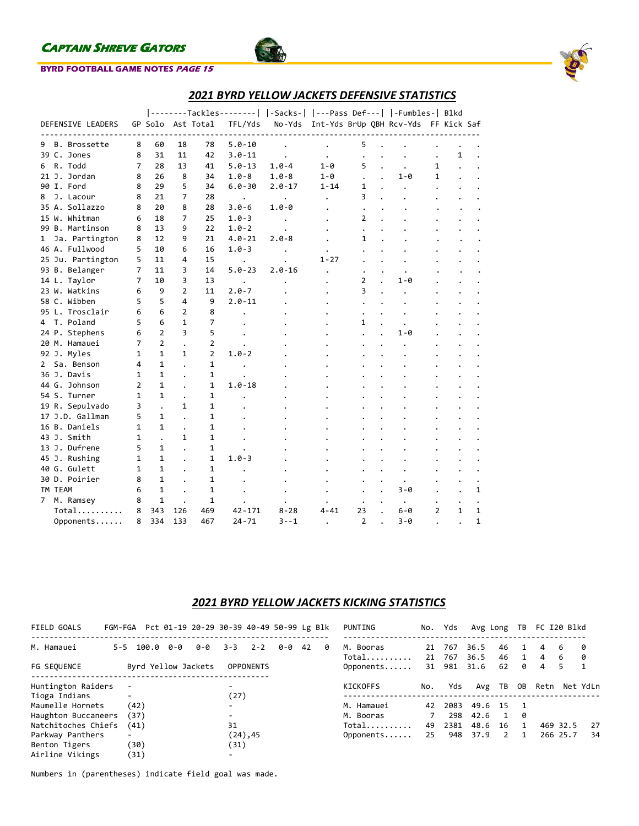

## **BYRD FOOTBALL GAME NOTES PAGE 15**



## *2021 BYRD YELLOW JACKETS DEFENSIVE STATISTICS*

|                                |                |                |                |                   |            | --------Tackles--------   -Sacks-   ---Pass Def---   -Fumbles-  Blkd |              |                |                                      |                |              |              |
|--------------------------------|----------------|----------------|----------------|-------------------|------------|----------------------------------------------------------------------|--------------|----------------|--------------------------------------|----------------|--------------|--------------|
| DEFENSIVE LEADERS              |                |                |                | GP Solo Ast Total | TFL/Yds    | No-Yds                                                               |              |                | Int-Yds BrUp QBH Rcv-Yds FF Kick Saf |                |              |              |
| B. Brossette                   | 8              | 60             | 18             | 78                | $5.0 - 10$ |                                                                      |              |                |                                      |                |              |              |
| 9                              | 8              | 31             |                |                   | $3.0 - 11$ |                                                                      |              | 5              |                                      |                |              |              |
| 39 C. Jones                    |                |                | 11             | 42                | $5.0 - 13$ | $\ddot{\phantom{a}}$                                                 |              |                |                                      |                | 1            |              |
| R. Todd<br>6                   | 7              | 28             | 13             | 41                |            | $1.0 - 4$                                                            | $1 - \theta$ | 5              |                                      | 1              |              |              |
| 21 J. Jordan                   | 8              | 26             | 8              | 34                | $1.0 - 8$  | $1.0 - 8$                                                            | $1 - \theta$ |                | 1-0                                  | 1              |              |              |
| 90 I. Ford                     | 8              | 29             | 5              | 34                | $6.0 - 30$ | $2.0 - 17$                                                           | $1 - 14$     | 1              |                                      |                |              |              |
| J. Lacour<br>8                 | 8              | 21             | 7              | 28                | $\bullet$  | $\bullet$                                                            |              | 3              |                                      |                |              |              |
| 35 A. Sollazzo                 | 8              | 20             | 8              | 28                | $3.0 - 6$  | $1.0 - 0$                                                            |              | $\bullet$      |                                      |                |              |              |
| 15 W. Whitman                  | 6              | 18             | 7              | 25                | $1.0 - 3$  |                                                                      |              | 2              |                                      |                |              |              |
| 99 B. Martinson                | 8              | 13             | 9              | 22                | $1.0 - 2$  |                                                                      |              | $\cdot$        |                                      |                |              |              |
| Ja. Partington<br>$\mathbf{1}$ | 8              | 12             | 9              | 21                | $4.0 - 21$ | $2.0 - 8$                                                            |              | $\mathbf{1}$   |                                      |                |              |              |
| 46 A. Fullwood                 | 5              | 10             | 6              | 16                | $1.0 - 3$  |                                                                      |              |                |                                      |                |              |              |
| 25 Ju. Partington              | 5              | 11             | 4              | 15                |            |                                                                      | $1 - 27$     |                |                                      |                |              |              |
| 93 B. Belanger                 | 7              | 11             | 3              | 14                | $5.0 - 23$ | $2.0 - 16$                                                           |              |                |                                      |                |              |              |
| 14 L. Taylor                   | 7              | 10             | 3              | 13                |            |                                                                      |              | 2              | $1 - \theta$                         |                |              |              |
| 23 W. Watkins                  | 6              | 9              | $\overline{2}$ | 11                | $2.0 - 7$  |                                                                      |              | 3              |                                      |                |              |              |
| 58 C. Wibben                   | 5              | 5              | 4              | 9                 | $2.0 - 11$ |                                                                      |              |                |                                      |                |              |              |
| 95 L. Trosclair                | 6              | 6              | $\overline{2}$ | 8                 |            |                                                                      |              |                |                                      |                |              |              |
| 4 T. Poland                    | 5              | 6              | 1              | 7                 |            |                                                                      |              | 1              |                                      |                |              |              |
| 24 P. Stephens                 | 6              | $\overline{2}$ | 3              | 5                 |            |                                                                      |              |                | $1 - \theta$                         |                |              |              |
| 20 M. Hamauei                  | 7              | $\overline{2}$ |                | $\overline{2}$    |            |                                                                      |              |                |                                      |                |              |              |
| 92 J. Myles                    | 1              | $\mathbf{1}$   | 1              | $\overline{2}$    | $1.0 - 2$  |                                                                      |              |                |                                      |                |              |              |
| Sa. Benson<br>$\mathbf{2}$     | 4              | $\mathbf{1}$   |                | $\mathbf{1}$      |            |                                                                      |              |                |                                      |                |              |              |
| 36 J. Davis                    | 1              | $\mathbf{1}$   |                | $\mathbf{1}$      |            |                                                                      |              |                |                                      |                |              |              |
| 44 G. Johnson                  | $\overline{2}$ | $\mathbf{1}$   |                | $\mathbf{1}$      | $1.0 - 18$ |                                                                      |              |                |                                      |                |              |              |
| 54 S. Turner                   | 1              | $\mathbf{1}$   |                | $\mathbf{1}$      |            |                                                                      |              |                |                                      |                |              |              |
| 19 R. Sepulvado                | 3              |                | $\mathbf{1}$   | $\mathbf{1}$      |            |                                                                      |              |                |                                      |                |              |              |
| 17 J.D. Gallman                | 5              | $\mathbf{1}$   |                | $\mathbf{1}$      |            |                                                                      |              |                |                                      |                |              |              |
| 16 B. Daniels                  | 1              | $\mathbf{1}$   |                | 1                 |            |                                                                      |              |                |                                      |                |              |              |
| 43 J. Smith                    | 1              |                | 1              | $\mathbf{1}$      |            |                                                                      |              |                |                                      |                |              |              |
| 13 J. Dufrene                  | 5              | $\mathbf{1}$   |                | $\mathbf{1}$      |            |                                                                      |              |                |                                      |                |              |              |
| 45 J. Rushing                  | 1              | 1              |                | $\mathbf{1}$      | $1.0 - 3$  |                                                                      |              |                |                                      |                |              |              |
| 40 G. Gulett                   | 1              | $\mathbf{1}$   |                | 1                 |            |                                                                      |              |                |                                      |                |              |              |
| 30 D. Poirier                  |                | $\mathbf{1}$   |                | $\mathbf{1}$      |            |                                                                      |              |                |                                      |                |              |              |
|                                | 8              |                |                |                   |            |                                                                      |              |                | $\bullet$                            |                |              |              |
| TM TEAM                        | 6              | $\mathbf{1}$   |                | 1                 |            |                                                                      |              |                | 3-0                                  |                |              | 1            |
| M. Ramsey<br>$7^{\circ}$       | 8              | $\mathbf{1}$   |                | $\mathbf{1}$      |            |                                                                      |              |                | $\bullet$                            |                |              |              |
| Total                          | 8              | 343            | 126            | 469               | $42 - 171$ | $8 - 28$                                                             | $4 - 41$     | 23             | $6 - 0$                              | $\overline{2}$ | $\mathbf{1}$ | $\mathbf{1}$ |
| Opponents                      | 8              | 334            | 133            | 467               | $24 - 71$  | $3 - -1$                                                             |              | $\overline{2}$ | $3 - \theta$                         |                |              | $\mathbf{1}$ |

## *2021 BYRD YELLOW JACKETS KICKING STATISTICS*

| FIELD GOALS                       |                     |     | FGM-FGA Pct 01-19 20-29 30-39 40-49 50-99 Lg Blk |                                  |                  |     |    |          | PUNTING            | No. | Yds           | Avg Long     |          | TB | FC I20 Blkd |          |          |
|-----------------------------------|---------------------|-----|--------------------------------------------------|----------------------------------|------------------|-----|----|----------|--------------------|-----|---------------|--------------|----------|----|-------------|----------|----------|
| M. Hamauei                        | $5 - 5$ 100.0       | 0-0 | 0-0                                              | $3 - 3$                          | $2 - 2$          | 0-0 | 42 | <b>0</b> | M. Booras          | 21  | 767           | 36.5         | 46       |    | 4           | 6        | - 0      |
| FG SEOUENCE                       | Byrd Yellow Jackets |     |                                                  |                                  | <b>OPPONENTS</b> |     |    |          | Total<br>Opponents | 21  | 767<br>31 981 | 36.5<br>31.6 | 46<br>62 | ø  | 4<br>4      | 6<br>5.  | 0<br>1   |
| Huntington Raiders                |                     |     |                                                  | $\overline{\phantom{0}}$         |                  |     |    |          | KICKOFFS           | No. | Yds           | Avg TB       |          | OB | Retn        |          | Net YdLn |
| Tioga Indians<br>Maumelle Hornets | (42)                |     |                                                  | (27)<br>$\overline{\phantom{0}}$ |                  |     |    |          | M. Hamauei         | 42  | 2083          | 49.6 15      |          |    |             |          |          |
| Haughton Buccaneers               | (37)                |     |                                                  | $\overline{\phantom{0}}$         |                  |     |    |          | M. Booras          |     | 298           | 42.6         |          | 0  |             |          |          |
| Natchitoches Chiefs               | (41)                |     |                                                  | 31                               |                  |     |    |          | Total              | 49  | 2381          | 48.6         | 16       |    |             | 469 32.5 | 27       |
| Parkway Panthers                  |                     |     |                                                  |                                  | (24), 45         |     |    |          | Opponents          | 25  | 948           | 37.9         | 2        | 1  |             | 266 25.7 | 34       |
| Benton Tigers                     | (30)                |     |                                                  | (31)                             |                  |     |    |          |                    |     |               |              |          |    |             |          |          |
| Airline Vikings                   | (31)                |     |                                                  | $\overline{\phantom{0}}$         |                  |     |    |          |                    |     |               |              |          |    |             |          |          |

Numbers in (parentheses) indicate field goal was made.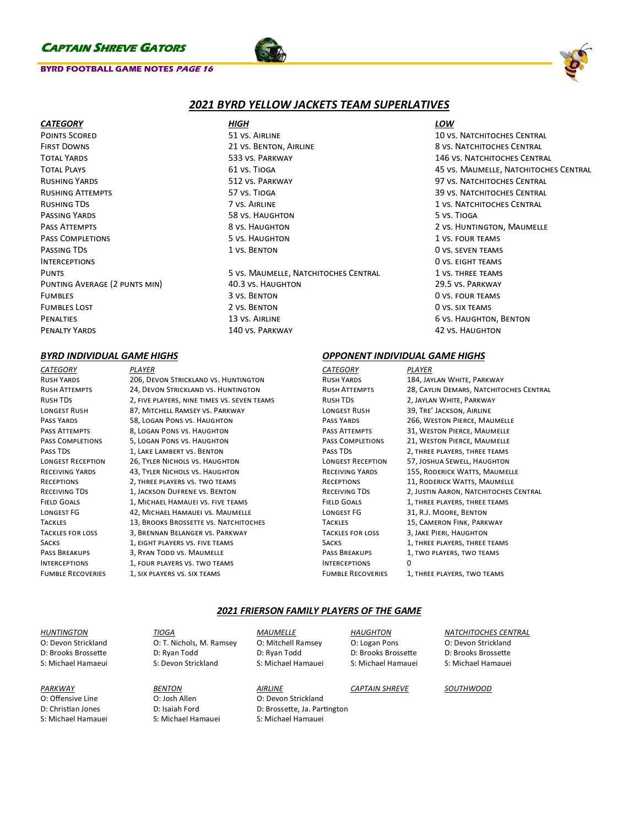### **BYRD FOOTBALL GAME NOTES PAGE 16**





## *2021 BYRD YELLOW JACKETS TEAM SUPERLATIVES*

| <b>CATEGORY</b>               | HIGH                                 | LOW                                   |
|-------------------------------|--------------------------------------|---------------------------------------|
| <b>POINTS SCORED</b>          | 51 VS. AIRLINE                       | <b>10 VS. NATCHITOCHES CENTRAL</b>    |
| <b>FIRST DOWNS</b>            | 21 VS. BENTON, AIRLINE               | 8 VS. NATCHITOCHES CENTRAL            |
| <b>TOTAL YARDS</b>            | 533 VS. PARKWAY                      | <b>146 VS. NATCHITOCHES CENTRAL</b>   |
| <b>TOTAL PLAYS</b>            | 61 VS. TIOGA                         | 45 VS. MAUMELLE, NATCHITOCHES CENTRAL |
| <b>RUSHING YARDS</b>          | 512 VS. PARKWAY                      | 97 VS. NATCHITOCHES CENTRAL           |
| <b>RUSHING ATTEMPTS</b>       | 57 VS. TIOGA                         | <b>39 VS. NATCHITOCHES CENTRAL</b>    |
| RUSHING TDS                   | 7 VS. AIRLINE                        | <b>1 VS. NATCHITOCHES CENTRAL</b>     |
| PASSING YARDS                 | <b>58 VS. HAUGHTON</b>               | 5 VS. TIOGA                           |
| PASS ATTEMPTS                 | 8 VS. HAUGHTON                       | 2 VS. HUNTINGTON, MAUMELLE            |
| <b>PASS COMPLETIONS</b>       | 5 VS. HAUGHTON                       | 1 VS. FOUR TEAMS                      |
| PASSING TDS                   | 1 VS. BENTON                         | <b>OVS. SEVEN TEAMS</b>               |
| <b>INTERCEPTIONS</b>          |                                      | O VS. EIGHT TEAMS                     |
| <b>PUNTS</b>                  | 5 VS. MAUMELLE, NATCHITOCHES CENTRAL | 1 VS. THREE TEAMS                     |
| PUNTING AVERAGE (2 PUNTS MIN) | 40.3 VS. HAUGHTON                    | 29.5 VS. PARKWAY                      |
| <b>FUMBLES</b>                | 3 VS. BENTON                         | <b>OVS. FOUR TEAMS</b>                |
| <b>FUMBLES LOST</b>           | 2 VS. BENTON                         | O VS. SIX TEAMS                       |
| <b>PENALTIES</b>              | 13 VS. AIRLINE                       | 6 VS. HAUGHTON, BENTON                |
| <b>PENALTY YARDS</b>          | 140 VS. PARKWAY                      | <b>42 VS. HAUGHTON</b>                |

## *BYRD INDIVIDUAL GAME HIGHS OPPONENT INDIVIDUAL GAME HIGHS*

*CATEGORY PLAYER* Rush Yards 206, Devon Strickland vs. Huntington Rush Attempts 24, Devon Strickland vs. Huntington Rush TDs 2, five players, nine times vs. seven teams LONGEST RUSH 87, MITCHELL RAMSEY VS. PARKWAY Pass Yards 58, Logan Pons vs. Haughton PASS ATTEMPTS 8, LOGAN PONS VS. HAUGHTON Pass Completions 5, Logan Pons vs. Haughton PASS TDS 1, LAKE LAMBERT VS. BENTON Longest Reception 26, Tyler Nichols vs. Haughton RECEIVING YARDS 43, TYLER NICHOLS VS. HAUGHTON Receptions 2, three players vs. two teams Receiving TDs 1, Jackson Dufrene vs. Benton FIELD GOALS 1, MICHAEL HAMAUEI VS. FIVE TEAMS Longest FG 42, Michael Hamauei vs. Maumelle TACKLES 13, BROOKS BROSSETTE VS. NATCHITOCHES Tackles for loss 3, Brennan Belanger vs. Parkway SACKS 1, EIGHT PLAYERS VS. FIVE TEAMS PASS BREAKUPS 3, RYAN TODD VS. MAUMELLE INTERCEPTIONS 1, FOUR PLAYERS VS. TWO TEAMS FUMBLE RECOVERIES 1, SIX PLAYERS VS. SIX TEAMS

*CATEGORY PLAYER* RUSH YARDS 184, JAYLAN WHITE, PARKWAY RUSH ATTEMPTS 28, CAYLIN DEMARS, NATCHITOCHES CENTRAL Rush TDs 2, Jaylan White, Parkway LONGEST RUSH 39, TRE' JACKSON, AIRLINE PASS YARDS 266, WESTON PIERCE, MAUMELLE PASS ATTEMPTS 31, WESTON PIERCE, MAUMELLE PASS COMPLETIONS 21, WESTON PIERCE, MAUMELLE PASS TDS 2, THREE PLAYERS, THREE TEAMS Longest Reception 57, Joshua Sewell, Haughton RECEIVING YARDS 155, RODERICK WATTS, MAUMELLE RECEPTIONS 11, RODERICK WATTS, MAUMELLE RECEIVING TDS 2, JUSTIN AARON, NATCHITOCHES CENTRAL FIELD GOALS 1, THREE PLAYERS, THREE TEAMS Longest FG 31, R.J. Moore, Benton TACKLES 15, CAMERON FINK, PARKWAY Tackles for loss 3, Jake Pieri, Haughton SACKS 1, THREE PLAYERS, THREE TEAMS PASS BREAKUPS 1, TWO PLAYERS, TWO TEAMS Interceptions 0 FUMBLE RECOVERIES 1, THREE PLAYERS, TWO TEAMS

## *2021 FRIERSON FAMILY PLAYERS OF THE GAME*

| <b>HUNTINGTON</b>   | <b>TIOGA</b>             | <i>MAUMELLE</i>              | <b>HAUGHTON</b>       | <b>NATCHITOCHES CENTRAL</b> |  |  |
|---------------------|--------------------------|------------------------------|-----------------------|-----------------------------|--|--|
| O: Devon Strickland | O: T. Nichols, M. Ramsey | O: Mitchell Ramsey           | O: Logan Pons         | O: Devon Strickland         |  |  |
| D: Brooks Brossette | D: Ryan Todd             | D: Ryan Todd                 | D: Brooks Brossette   | D: Brooks Brossette         |  |  |
| S: Michael Hamaeui  | S: Devon Strickland      | S: Michael Hamauei           | S: Michael Hamauei    | S: Michael Hamauei          |  |  |
| PARKWAY             | <b>BENTON</b>            | <b>AIRLINE</b>               | <b>CAPTAIN SHREVE</b> | SOUTHWOOD                   |  |  |
| O: Offensive Line   | O: Josh Allen            | O: Devon Strickland          |                       |                             |  |  |
| D: Christian Jones  | D: Isaiah Ford           | D: Brossette, Ja. Partington |                       |                             |  |  |
| S: Michael Hamauei  | S: Michael Hamauei       | S: Michael Hamauei           |                       |                             |  |  |